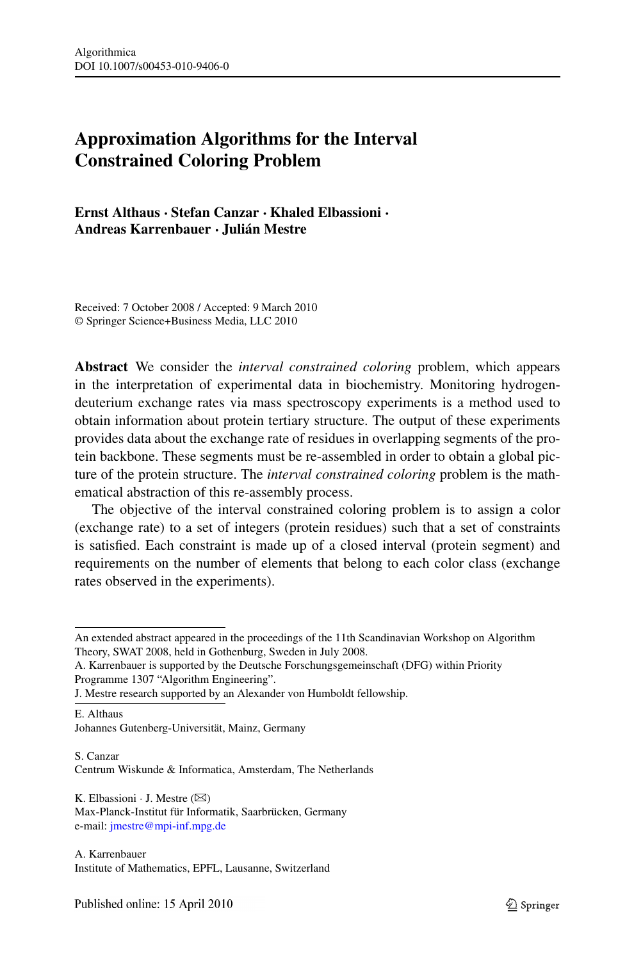# **Approximation Algorithms for the Interval Constrained Coloring Problem**

**Ernst Althaus · Stefan Canzar · Khaled Elbassioni · Andreas Karrenbauer · Julián Mestre**

Received: 7 October 2008 / Accepted: 9 March 2010 © Springer Science+Business Media, LLC 2010

**Abstract** We consider the *interval constrained coloring* problem, which appears in the interpretation of experimental data in biochemistry. Monitoring hydrogendeuterium exchange rates via mass spectroscopy experiments is a method used to obtain information about protein tertiary structure. The output of these experiments provides data about the exchange rate of residues in overlapping segments of the protein backbone. These segments must be re-assembled in order to obtain a global picture of the protein structure. The *interval constrained coloring* problem is the mathematical abstraction of this re-assembly process.

The objective of the interval constrained coloring problem is to assign a color (exchange rate) to a set of integers (protein residues) such that a set of constraints is satisfied. Each constraint is made up of a closed interval (protein segment) and requirements on the number of elements that belong to each color class (exchange rates observed in the experiments).

E. Althaus Johannes Gutenberg-Universität, Mainz, Germany

S. Canzar Centrum Wiskunde & Informatica, Amsterdam, The Netherlands

K. Elbassioni · J. Mestre ( $\boxtimes$ ) Max-Planck-Institut für Informatik, Saarbrücken, Germany e-mail: [jmestre@mpi-inf.mpg.de](mailto:jmestre@mpi-inf.mpg.de)

A. Karrenbauer Institute of Mathematics, EPFL, Lausanne, Switzerland

An extended abstract appeared in the proceedings of the 11th Scandinavian Workshop on Algorithm Theory, SWAT 2008, held in Gothenburg, Sweden in July 2008.

A. Karrenbauer is supported by the Deutsche Forschungsgemeinschaft (DFG) within Priority Programme 1307 "Algorithm Engineering".

J. Mestre research supported by an Alexander von Humboldt fellowship.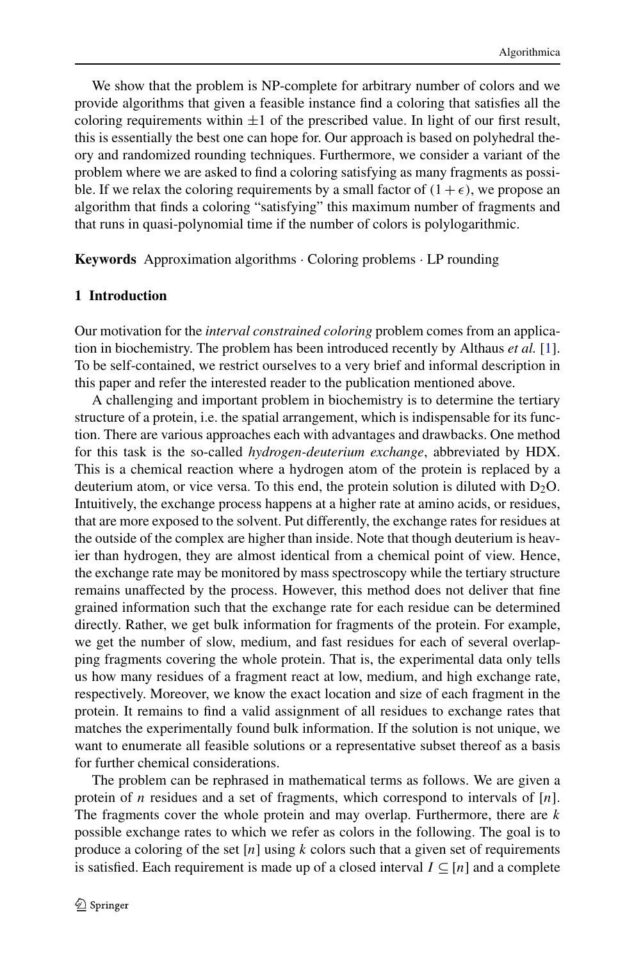We show that the problem is NP-complete for arbitrary number of colors and we provide algorithms that given a feasible instance find a coloring that satisfies all the coloring requirements within  $\pm 1$  of the prescribed value. In light of our first result, this is essentially the best one can hope for. Our approach is based on polyhedral theory and randomized rounding techniques. Furthermore, we consider a variant of the problem where we are asked to find a coloring satisfying as many fragments as possible. If we relax the coloring requirements by a small factor of  $(1 + \epsilon)$ , we propose an algorithm that finds a coloring "satisfying" this maximum number of fragments and that runs in quasi-polynomial time if the number of colors is polylogarithmic.

**Keywords** Approximation algorithms · Coloring problems · LP rounding

# **1 Introduction**

Our motivation for the *interval constrained coloring* problem comes from an application in biochemistry. The problem has been introduced recently by Althaus *et al.* [[1\]](#page-19-0). To be self-contained, we restrict ourselves to a very brief and informal description in this paper and refer the interested reader to the publication mentioned above.

A challenging and important problem in biochemistry is to determine the tertiary structure of a protein, i.e. the spatial arrangement, which is indispensable for its function. There are various approaches each with advantages and drawbacks. One method for this task is the so-called *hydrogen-deuterium exchange*, abbreviated by HDX. This is a chemical reaction where a hydrogen atom of the protein is replaced by a deuterium atom, or vice versa. To this end, the protein solution is diluted with  $D_2O$ . Intuitively, the exchange process happens at a higher rate at amino acids, or residues, that are more exposed to the solvent. Put differently, the exchange rates for residues at the outside of the complex are higher than inside. Note that though deuterium is heavier than hydrogen, they are almost identical from a chemical point of view. Hence, the exchange rate may be monitored by mass spectroscopy while the tertiary structure remains unaffected by the process. However, this method does not deliver that fine grained information such that the exchange rate for each residue can be determined directly. Rather, we get bulk information for fragments of the protein. For example, we get the number of slow, medium, and fast residues for each of several overlapping fragments covering the whole protein. That is, the experimental data only tells us how many residues of a fragment react at low, medium, and high exchange rate, respectively. Moreover, we know the exact location and size of each fragment in the protein. It remains to find a valid assignment of all residues to exchange rates that matches the experimentally found bulk information. If the solution is not unique, we want to enumerate all feasible solutions or a representative subset thereof as a basis for further chemical considerations.

The problem can be rephrased in mathematical terms as follows. We are given a protein of *n* residues and a set of fragments, which correspond to intervals of [*n*]. The fragments cover the whole protein and may overlap. Furthermore, there are *k* possible exchange rates to which we refer as colors in the following. The goal is to produce a coloring of the set [*n*] using *k* colors such that a given set of requirements is satisfied. Each requirement is made up of a closed interval  $I \subseteq [n]$  and a complete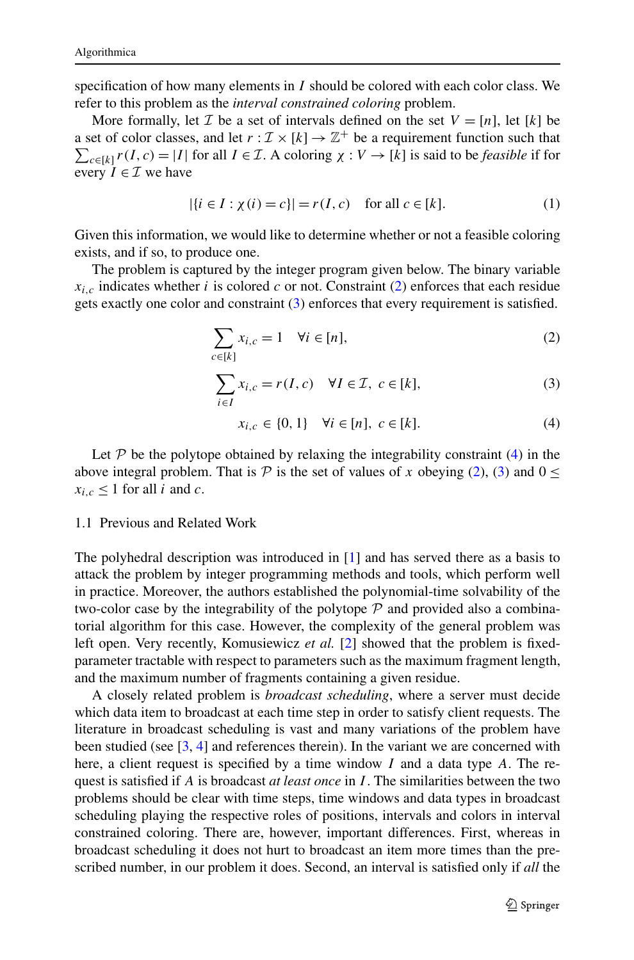<span id="page-2-0"></span>specification of how many elements in *I* should be colored with each color class. We refer to this problem as the *interval constrained coloring* problem.

More formally, let *I* be a set of intervals defined on the set  $V = [n]$ , let [k] be a set of color classes, and let  $r : \mathcal{I} \times [k] \to \mathbb{Z}^+$  be a requirement function such that  $\sum_{c \in [k]} r(I, c) = |I|$  for all  $I \in \mathcal{I}$ . A coloring  $\chi : V \to [k]$  is said to be *feasible* if for every  $I \in \mathcal{I}$  we have

$$
|\{i \in I : \chi(i) = c\}| = r(I, c) \quad \text{for all } c \in [k].
$$
 (1)

Given this information, we would like to determine whether or not a feasible coloring exists, and if so, to produce one.

The problem is captured by the integer program given below. The binary variable  $x_{i,c}$  indicates whether *i* is colored *c* or not. Constraint (2) enforces that each residue gets exactly one color and constraint (3) enforces that every requirement is satisfied.

$$
\sum_{c \in [k]} x_{i,c} = 1 \quad \forall i \in [n], \tag{2}
$$

$$
\sum_{i \in I} x_{i,c} = r(I, c) \quad \forall I \in \mathcal{I}, \ c \in [k], \tag{3}
$$

$$
x_{i,c} \in \{0, 1\} \quad \forall i \in [n], \ c \in [k]. \tag{4}
$$

Let  $P$  be the polytope obtained by relaxing the integrability constraint (4) in the above integral problem. That is  $P$  is the set of values of *x* obeying (2), (3) and  $0 \le$  $x_{i,c} \leq 1$  for all *i* and *c*.

#### 1.1 Previous and Related Work

The polyhedral description was introduced in [[1\]](#page-19-0) and has served there as a basis to attack the problem by integer programming methods and tools, which perform well in practice. Moreover, the authors established the polynomial-time solvability of the two-color case by the integrability of the polytope  $P$  and provided also a combinatorial algorithm for this case. However, the complexity of the general problem was left open. Very recently, Komusiewicz *et al.* [\[2](#page-19-0)] showed that the problem is fixedparameter tractable with respect to parameters such as the maximum fragment length, and the maximum number of fragments containing a given residue.

A closely related problem is *broadcast scheduling*, where a server must decide which data item to broadcast at each time step in order to satisfy client requests. The literature in broadcast scheduling is vast and many variations of the problem have been studied (see [\[3](#page-19-0), [4](#page-19-0)] and references therein). In the variant we are concerned with here, a client request is specified by a time window *I* and a data type *A*. The request is satisfied if *A* is broadcast *at least once* in *I* . The similarities between the two problems should be clear with time steps, time windows and data types in broadcast scheduling playing the respective roles of positions, intervals and colors in interval constrained coloring. There are, however, important differences. First, whereas in broadcast scheduling it does not hurt to broadcast an item more times than the prescribed number, in our problem it does. Second, an interval is satisfied only if *all* the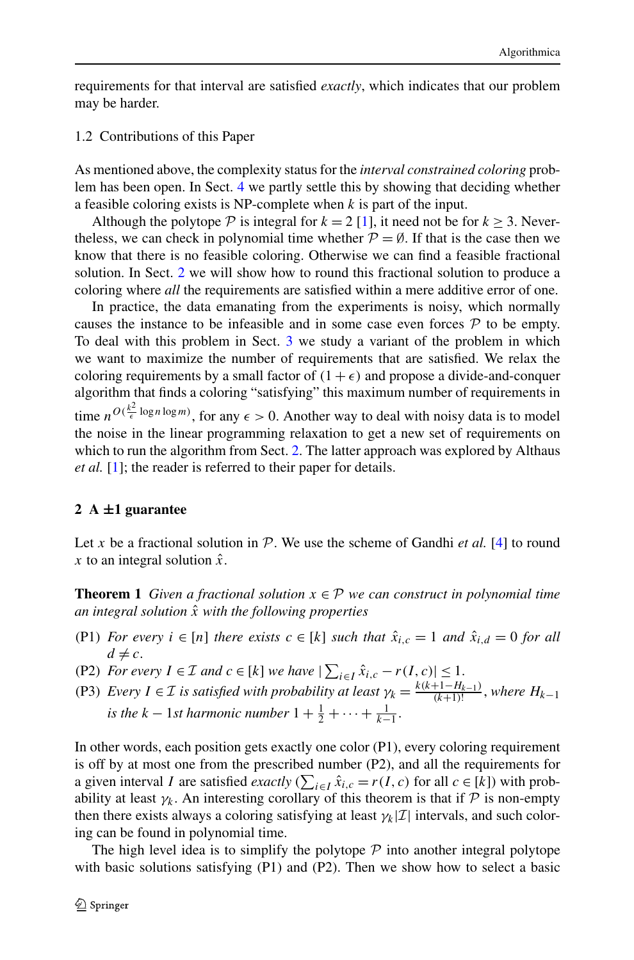requirements for that interval are satisfied *exactly*, which indicates that our problem may be harder.

1.2 Contributions of this Paper

As mentioned above, the complexity status for the *interval constrained coloring* problem has been open. In Sect. [4](#page-18-0) we partly settle this by showing that deciding whether a feasible coloring exists is NP-complete when *k* is part of the input.

Although the polytope  $\mathcal P$  is integral for  $k = 2$  [[1\]](#page-19-0), it need not be for  $k \geq 3$ . Nevertheless, we can check in polynomial time whether  $\mathcal{P} = \emptyset$ . If that is the case then we know that there is no feasible coloring. Otherwise we can find a feasible fractional solution. In Sect. 2 we will show how to round this fractional solution to produce a coloring where *all* the requirements are satisfied within a mere additive error of one.

In practice, the data emanating from the experiments is noisy, which normally causes the instance to be infeasible and in some case even forces  $P$  to be empty. To deal with this problem in Sect. [3](#page-8-0) we study a variant of the problem in which we want to maximize the number of requirements that are satisfied. We relax the coloring requirements by a small factor of  $(1 + \epsilon)$  and propose a divide-and-conquer algorithm that finds a coloring "satisfying" this maximum number of requirements in time  $n^{O(\frac{k^2}{\epsilon} \log n \log m)}$ , for any  $\epsilon > 0$ . Another way to deal with noisy data is to model the noise in the linear programming relaxation to get a new set of requirements on which to run the algorithm from Sect. 2. The latter approach was explored by Althaus *et al.* [[1\]](#page-19-0); the reader is referred to their paper for details.

# **2 A ±1 guarantee**

Let x be a fractional solution in  $P$ . We use the scheme of Gandhi *et al.* [[4\]](#page-19-0) to round *x* to an integral solution  $\hat{x}$ .

**Theorem 1** *Given a fractional solution*  $x \in \mathcal{P}$  *we can construct in polynomial time an integral solution x*ˆ *with the following properties*

- (P1) *For every*  $i \in [n]$  *there exists*  $c \in [k]$  *such that*  $\hat{x}_{i,c} = 1$  *and*  $\hat{x}_{i,d} = 0$  *for all*  $d \neq c$ .
- (P2) *For every*  $I \in \mathcal{I}$  *and*  $c \in [k]$  *we have*  $|\sum_{i \in I} \hat{x}_{i,c} r(I,c)| \leq 1$ .
- (P3) *Every*  $I \in \mathcal{I}$  *is satisfied with probability at least*  $\gamma_k = \frac{k(k+1-H_{k-1})}{(k+1)!}$ , *where*  $H_{k-1}$ *is the*  $k-1$ *st harmonic number*  $1+\frac{1}{2}+\cdots+\frac{1}{k-1}$ .

In other words, each position gets exactly one color (P1), every coloring requirement is off by at most one from the prescribed number (P2), and all the requirements for a given interval *I* are satisfied *exactly*  $(\sum_{i \in I} \hat{x}_{i,c} = r(I, c)$  for all  $c \in [k]$ ) with probability at least  $\gamma_k$ . An interesting corollary of this theorem is that if  $\mathcal P$  is non-empty then there exists always a coloring satisfying at least  $\gamma_k|\mathcal{I}|$  intervals, and such coloring can be found in polynomial time.

The high level idea is to simplify the polytope  $P$  into another integral polytope with basic solutions satisfying (P1) and (P2). Then we show how to select a basic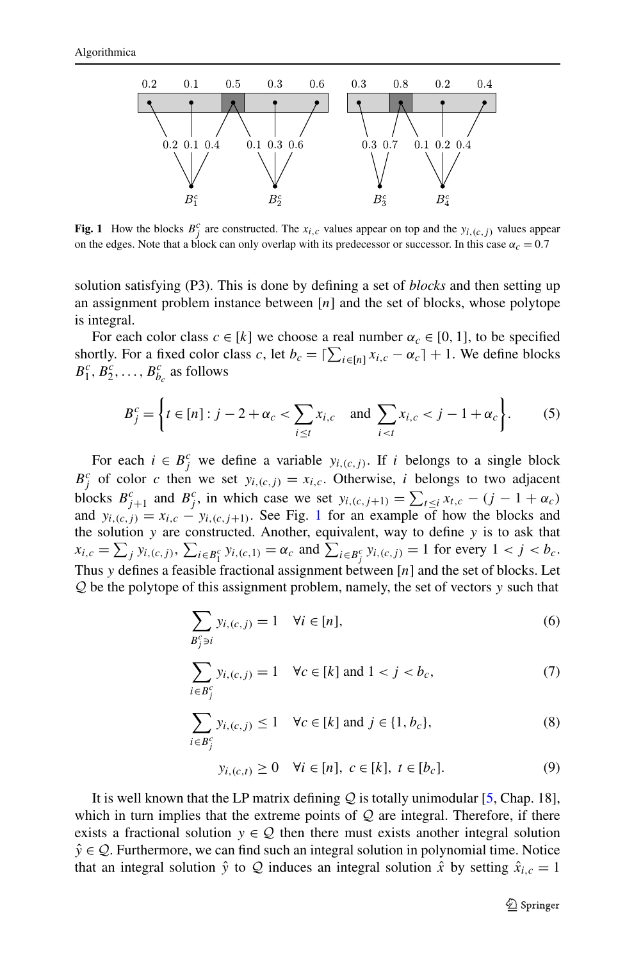<span id="page-4-0"></span>

**Fig. 1** How the blocks  $B_j^c$  are constructed. The  $x_{i,c}$  values appear on top and the  $y_{i,(c,j)}$  values appear on the edges. Note that a block can only overlap with its predecessor or successor. In this case  $\alpha_c = 0.7$ 

solution satisfying (P3). This is done by defining a set of *blocks* and then setting up an assignment problem instance between [*n*] and the set of blocks, whose polytope is integral.

For each color class  $c \in [k]$  we choose a real number  $\alpha_c \in [0, 1]$ , to be specified shortly. For a fixed color class *c*, let  $b_c = \left[\sum_{i \in [n]} x_{i,c} - \alpha_c\right] + 1$ . We define blocks  $B_1^c, B_2^c, \ldots, B_{b_c}^c$  as follows

$$
B_j^c = \left\{ t \in [n] : j - 2 + \alpha_c < \sum_{i \le t} x_{i,c} \text{ and } \sum_{i < t} x_{i,c} < j - 1 + \alpha_c \right\}. \tag{5}
$$

For each  $i \in B_j^c$  we define a variable  $y_{i,(c,j)}$ . If *i* belongs to a single block  $B_j^c$  of color *c* then we set  $y_{i,(c,j)} = x_{i,c}$ . Otherwise, *i* belongs to two adjacent blocks  $B_{j+1}^c$  and  $B_j^c$ , in which case we set  $y_{i,(c,j+1)} = \sum_{t \leq i} x_{t,c} - (j-1 + \alpha_c)$ and  $y_{i,(c,j)} = x_{i,c} - y_{i,(c,j+1)}$ . See Fig. 1 for an example of how the blocks and the solution *y* are constructed. Another, equivalent, way to define *y* is to ask that  $x_{i,c} = \sum_j y_{i,(c,j)}, \sum_{i \in B_1^c} y_{i,(c,1)} = \alpha_c$  and  $\sum_{i \in B_j^c} y_{i,(c,j)} = 1$  for every  $1 < j < b_c$ . Thus *y* defines a feasible fractional assignment between [*n*] and the set of blocks. Let Q be the polytope of this assignment problem, namely, the set of vectors *y* such that

$$
\sum_{B_j^c \ni i} y_{i,(c,j)} = 1 \quad \forall i \in [n], \tag{6}
$$

$$
\sum_{i \in B_j^c} y_{i,(c,j)} = 1 \quad \forall c \in [k] \text{ and } 1 < j < b_c,\tag{7}
$$

$$
\sum_{i \in B_j^c} y_{i,(c,j)} \le 1 \quad \forall c \in [k] \text{ and } j \in \{1, b_c\},\tag{8}
$$

$$
y_{i,(c,t)} \ge 0 \quad \forall i \in [n], \ c \in [k], \ t \in [b_c].
$$
 (9)

It is well known that the LP matrix defining  $Q$  is totally unimodular [\[5](#page-19-0), Chap. 18], which in turn implies that the extreme points of  $Q$  are integral. Therefore, if there exists a fractional solution  $y \in \mathcal{Q}$  then there must exists another integral solution  $\hat{y} \in \mathcal{Q}$ . Furthermore, we can find such an integral solution in polynomial time. Notice that an integral solution  $\hat{y}$  to  $Q$  induces an integral solution  $\hat{x}$  by setting  $\hat{x}_{i,c} = 1$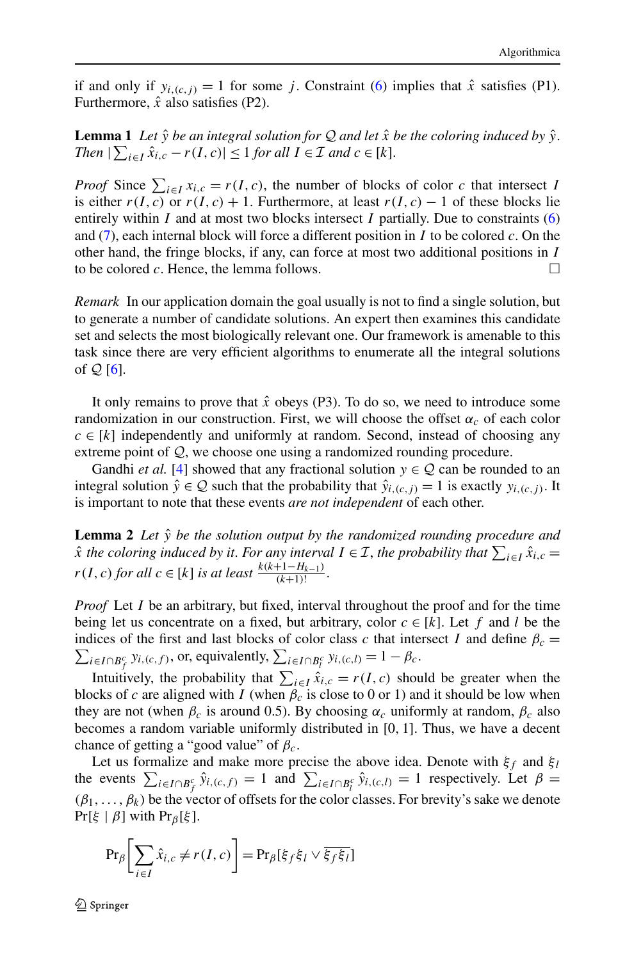if and only if  $y_{i,(c,j)} = 1$  for some *j*. Constraint [\(6](#page-4-0)) implies that  $\hat{x}$  satisfies (P1). Furthermore,  $\hat{x}$  also satisfies (P2).

**Lemma 1** Let  $\hat{y}$  be an integral solution for Q and let  $\hat{x}$  be the coloring induced by  $\hat{y}$ . *Then*  $|\sum_{i \in I} \hat{x}_{i,c} - r(I, c)| \leq 1$  *for all*  $I \in \mathcal{I}$  *and*  $c \in [k]$ .

*Proof* Since  $\sum_{i \in I} x_{i,c} = r(I,c)$ , the number of blocks of color *c* that intersect *I* is either  $r(I, c)$  or  $r(I, c) + 1$ . Furthermore, at least  $r(I, c) - 1$  of these blocks lie entirely within  $I$  and at most two blocks intersect  $I$  partially. Due to constraints [\(6](#page-4-0)) and ([7\)](#page-4-0), each internal block will force a different position in *I* to be colored *c*. On the other hand, the fringe blocks, if any, can force at most two additional positions in *I* to be colored *c*. Hence, the lemma follows.  $\Box$ 

*Remark* In our application domain the goal usually is not to find a single solution, but to generate a number of candidate solutions. An expert then examines this candidate set and selects the most biologically relevant one. Our framework is amenable to this task since there are very efficient algorithms to enumerate all the integral solutions of  $Q$  [[6\]](#page-19-0).

It only remains to prove that  $\hat{x}$  obeys (P3). To do so, we need to introduce some randomization in our construction. First, we will choose the offset  $\alpha_c$  of each color  $c \in [k]$  independently and uniformly at random. Second, instead of choosing any extreme point of Q, we choose one using a randomized rounding procedure.

Gandhi *et al.* [\[4](#page-19-0)] showed that any fractional solution  $y \in \mathcal{Q}$  can be rounded to an integral solution  $\hat{y} \in \mathcal{Q}$  such that the probability that  $\hat{y}_{i,(c,j)} = 1$  is exactly  $y_{i,(c,j)}$ . It is important to note that these events *are not independent* of each other.

**Lemma 2** Let  $\hat{y}$  be the solution output by the randomized rounding procedure and  $\hat{x}$  *the coloring induced by it. For any interval*  $I \in \mathcal{I}$ *, the probability that*  $\sum_{i \in I} \hat{x}_{i,c} =$ *r*(*I*, *c*) *for all c* ∈ [*k*] *is at least*  $\frac{k(k+1-H_{k-1})}{(k+1)!}$ .

*Proof* Let *I* be an arbitrary, but fixed, interval throughout the proof and for the time being let us concentrate on a fixed, but arbitrary, color  $c \in [k]$ . Let f and l be the indices of the first and last blocks of color class c that intersect *I* and define  $\beta_c$  =  $\sum_{i \in I \cap B_f^c} y_{i,(c,f)}$ , or, equivalently,  $\sum_{i \in I \cap B_f^c} y_{i,(c,l)} = 1 - \beta_c$ .

Intuitively, the probability that  $\sum_{i \in I} \hat{x}_{i,c} = r(I, c)$  should be greater when the blocks of *c* are aligned with *I* (when  $\beta_c$  is close to 0 or 1) and it should be low when they are not (when  $\beta_c$  is around 0.5). By choosing  $\alpha_c$  uniformly at random,  $\beta_c$  also becomes a random variable uniformly distributed in [0*,* 1]. Thus, we have a decent chance of getting a "good value" of *βc*.

Let us formalize and make more precise the above idea. Denote with  $\xi_f$  and  $\xi_l$ the events  $\sum_{i \in I \cap B_f^c} \hat{y}_{i,(c,f)} = 1$  and  $\sum_{i \in I \cap B_i^c} \hat{y}_{i,(c,l)} = 1$  respectively. Let  $\beta =$  $(\beta_1, \ldots, \beta_k)$  be the vector of offsets for the color classes. For brevity's sake we denote Pr[*ξ* | *β*] with Pr*β*[*ξ* ].

$$
\Pr_{\beta} \bigg[ \sum_{i \in I} \hat{x}_{i,c} \neq r(I,c) \bigg] = \Pr_{\beta} [\xi_f \xi_l \vee \overline{\xi_f \xi_l}]
$$

 $\mathcal{D}$  Springer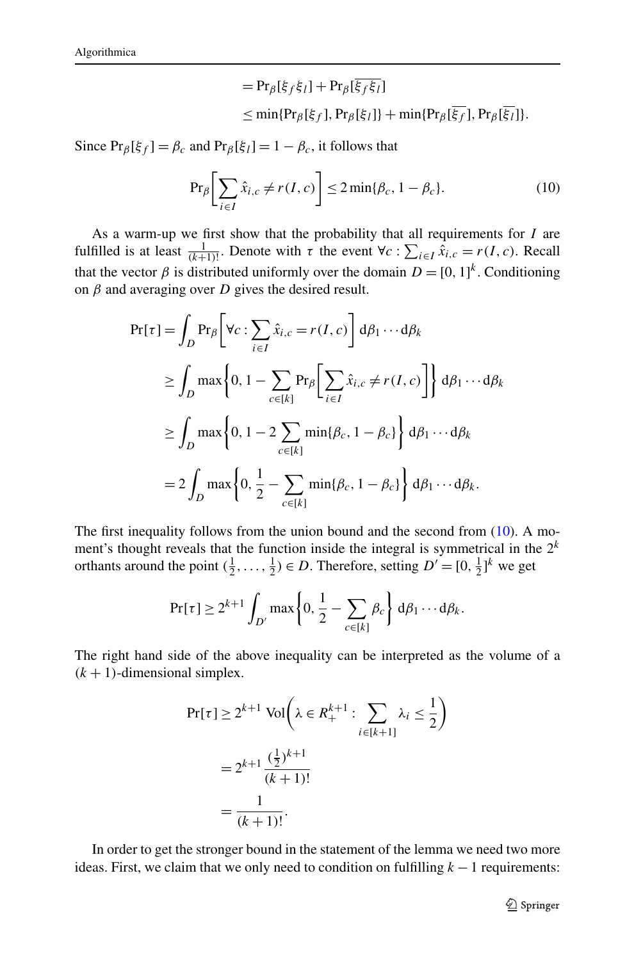$$
= \Pr_{\beta}[\xi_f \xi_l] + \Pr_{\beta}[\overline{\xi_f \xi_l}]
$$
  

$$
\leq \min\{\Pr_{\beta}[\xi_f], \Pr_{\beta}[\xi_l]\} + \min\{\Pr_{\beta}[\overline{\xi_f}], \Pr_{\beta}[\overline{\xi_l}]\}.
$$

Since  $\Pr_{\beta}[\xi_f] = \beta_c$  and  $\Pr_{\beta}[\xi_l] = 1 - \beta_c$ , it follows that

$$
\Pr_{\beta} \bigg[ \sum_{i \in I} \hat{x}_{i,c} \neq r(I,c) \bigg] \leq 2 \min \{ \beta_c, 1 - \beta_c \}. \tag{10}
$$

As a warm-up we first show that the probability that all requirements for *I* are fulfilled is at least  $\frac{1}{(k+1)!}$ . Denote with  $\tau$  the event  $\forall c : \sum_{i \in I} \hat{x}_{i,c} = r(I, c)$ . Recall that the vector  $\beta$  is distributed uniformly over the domain  $D = [0, 1]^k$ . Conditioning on  $\beta$  and averaging over *D* gives the desired result.

$$
\Pr[\tau] = \int_D \Pr_{\beta} \left[ \forall c : \sum_{i \in I} \hat{x}_{i,c} = r(I, c) \right] d\beta_1 \cdots d\beta_k
$$
  
\n
$$
\geq \int_D \max \left\{ 0, 1 - \sum_{c \in [k]} \Pr_{\beta} \left[ \sum_{i \in I} \hat{x}_{i,c} \neq r(I, c) \right] \right\} d\beta_1 \cdots d\beta_k
$$
  
\n
$$
\geq \int_D \max \left\{ 0, 1 - 2 \sum_{c \in [k]} \min \{ \beta_c, 1 - \beta_c \} \right\} d\beta_1 \cdots d\beta_k
$$
  
\n
$$
= 2 \int_D \max \left\{ 0, \frac{1}{2} - \sum_{c \in [k]} \min \{ \beta_c, 1 - \beta_c \} \right\} d\beta_1 \cdots d\beta_k.
$$

The first inequality follows from the union bound and the second from (10). A moment's thought reveals that the function inside the integral is symmetrical in the 2*<sup>k</sup>* orthants around the point  $(\frac{1}{2}, \ldots, \frac{1}{2}) \in D$ . Therefore, setting  $D' = [0, \frac{1}{2}]^k$  we get

$$
Pr[\tau] \ge 2^{k+1} \int_{D'} \max\left\{0, \frac{1}{2} - \sum_{c \in [k]} \beta_c \right\} d\beta_1 \cdots d\beta_k.
$$

The right hand side of the above inequality can be interpreted as the volume of a  $(k + 1)$ -dimensional simplex.

$$
Pr[\tau] \ge 2^{k+1} \operatorname{Vol}\left(\lambda \in R_+^{k+1} : \sum_{i \in [k+1]} \lambda_i \le \frac{1}{2}\right)
$$
  
=  $2^{k+1} \frac{(\frac{1}{2})^{k+1}}{(k+1)!}$   
=  $\frac{1}{(k+1)!}$ .

In order to get the stronger bound in the statement of the lemma we need two more ideas. First, we claim that we only need to condition on fulfilling  $k - 1$  requirements: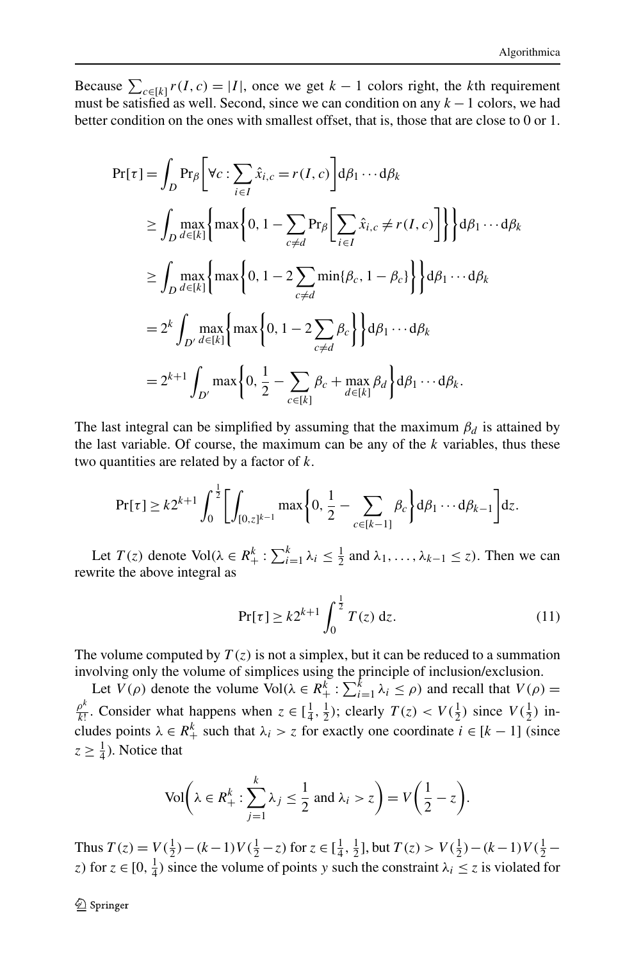<span id="page-7-0"></span>Because  $\sum_{c \in [k]} r(I, c) = |I|$ , once we get  $k - 1$  colors right, the *k*th requirement must be satisfied as well. Second, since we can condition on any *k* −1 colors, we had better condition on the ones with smallest offset, that is, those that are close to 0 or 1.

$$
\Pr[\tau] = \int_{D} \Pr_{\beta} \left[ \forall c : \sum_{i \in I} \hat{x}_{i,c} = r(I, c) \right] d\beta_{1} \cdots d\beta_{k}
$$
  
\n
$$
\geq \int_{D} \max_{d \in [k]} \left\{ \max \left\{ 0, 1 - \sum_{c \neq d} \Pr_{\beta} \left[ \sum_{i \in I} \hat{x}_{i,c} \neq r(I, c) \right] \right\} \right\} d\beta_{1} \cdots d\beta_{k}
$$
  
\n
$$
\geq \int_{D} \max_{d \in [k]} \left\{ \max \left\{ 0, 1 - 2 \sum_{c \neq d} \min \{ \beta_{c}, 1 - \beta_{c} \} \right\} \right\} d\beta_{1} \cdots d\beta_{k}
$$
  
\n
$$
= 2^{k} \int_{D'} \max_{d \in [k]} \left\{ \max \left\{ 0, 1 - 2 \sum_{c \neq d} \beta_{c} \right\} \right\} d\beta_{1} \cdots d\beta_{k}
$$
  
\n
$$
= 2^{k+1} \int_{D'} \max \left\{ 0, \frac{1}{2} - \sum_{c \in [k]} \beta_{c} + \max_{d \in [k]} \beta_{d} \right\} d\beta_{1} \cdots d\beta_{k}.
$$

The last integral can be simplified by assuming that the maximum  $\beta_d$  is attained by the last variable. Of course, the maximum can be any of the *k* variables, thus these two quantities are related by a factor of *k*.

$$
\Pr[\tau] \ge k2^{k+1} \int_0^{\frac{1}{2}} \left[ \int_{[0,z]^{k-1}} \max\left\{0, \frac{1}{2} - \sum_{c \in [k-1]} \beta_c \right\} d\beta_1 \cdots d\beta_{k-1} \right] dz.
$$

Let  $T(z)$  denote  $\text{Vol}(\lambda \in R_+^k : \sum_{i=1}^k \lambda_i \leq \frac{1}{2}$  and  $\lambda_1, \ldots, \lambda_{k-1} \leq z$ ). Then we can rewrite the above integral as

$$
\Pr[\tau] \ge k 2^{k+1} \int_0^{\frac{1}{2}} T(z) \, \mathrm{d}z. \tag{11}
$$

The volume computed by  $T(z)$  is not a simplex, but it can be reduced to a summation involving only the volume of simplices using the principle of inclusion/exclusion.

Let  $V(\rho)$  denote the volume  $Vol(\lambda \in R_+^k : \sum_{i=1}^k \lambda_i \le \rho)$  and recall that  $V(\rho) =$  $p^k$ . Consider what happens when  $z \in [\frac{1}{4}, \frac{1}{2})$ ; clearly  $T(z) < V(\frac{1}{2})$  since  $V(\frac{1}{2})$  includes points  $\lambda \in R_+^k$  such that  $\lambda_i > z$  for exactly one coordinate  $i \in [k-1]$  (since  $z \geq \frac{1}{4}$ ). Notice that

$$
\text{Vol}\bigg(\lambda \in R_+^k: \sum_{j=1}^k \lambda_j \le \frac{1}{2} \text{ and } \lambda_i > z\bigg) = V\bigg(\frac{1}{2} - z\bigg).
$$

Thus  $T(z) = V(\frac{1}{2}) - (k-1)V(\frac{1}{2} - z)$  for  $z \in [\frac{1}{4}, \frac{1}{2}]$ , but  $T(z) > V(\frac{1}{2}) - (k-1)V(\frac{1}{2} - z)$ *z*) for  $z \in [0, \frac{1}{4})$  since the volume of points *y* such the constraint  $\lambda_i \leq z$  is violated for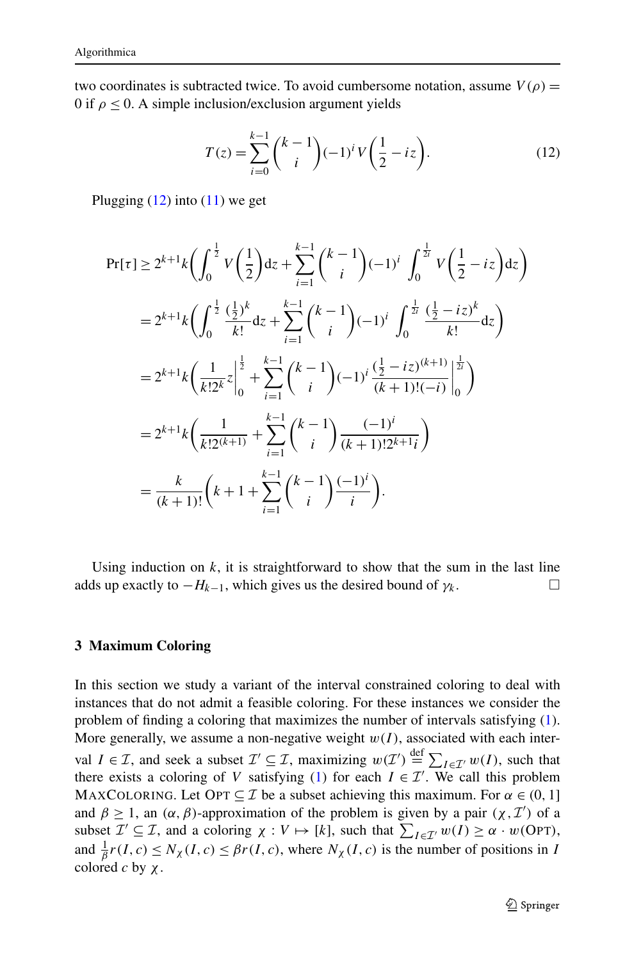<span id="page-8-0"></span>two coordinates is subtracted twice. To avoid cumbersome notation, assume  $V(\rho)$  = 0 if  $\rho \leq 0$ . A simple inclusion/exclusion argument yields

$$
T(z) = \sum_{i=0}^{k-1} {k-1 \choose i} (-1)^i V\left(\frac{1}{2} - iz\right).
$$
 (12)

Plugging  $(12)$  into  $(11)$  $(11)$  we get

$$
\Pr[\tau] \ge 2^{k+1} k \left( \int_0^{\frac{1}{2}} V\left(\frac{1}{2}\right) dz + \sum_{i=1}^{k-1} {k-1 \choose i} (-1)^i \int_0^{\frac{1}{2i}} V\left(\frac{1}{2} - iz\right) dz \right)
$$
  
\n
$$
= 2^{k+1} k \left( \int_0^{\frac{1}{2}} \frac{\left(\frac{1}{2}\right)^k}{k!} dz + \sum_{i=1}^{k-1} {k-1 \choose i} (-1)^i \int_0^{\frac{1}{2i}} \frac{\left(\frac{1}{2} - iz\right)^k}{k!} dz \right)
$$
  
\n
$$
= 2^{k+1} k \left( \frac{1}{k!2^k} z \Big|_0^{\frac{1}{2}} + \sum_{i=1}^{k-1} {k-1 \choose i} (-1)^i \frac{\left(\frac{1}{2} - iz\right)^{(k+1)}}{(k+1)!(-i)} \Big|_0^{\frac{1}{2i}} \right)
$$
  
\n
$$
= 2^{k+1} k \left( \frac{1}{k!2^{(k+1)}} + \sum_{i=1}^{k-1} {k-1 \choose i} \frac{(-1)^i}{(k+1)!2^{k+1}i} \right)
$$
  
\n
$$
= \frac{k}{(k+1)!} \left( k+1 + \sum_{i=1}^{k-1} {k-1 \choose i} \frac{(-1)^i}{i} \right).
$$

Using induction on  $k$ , it is straightforward to show that the sum in the last line adds up exactly to  $-H_{k-1}$ , which gives us the desired bound of  $\gamma_k$ .

#### **3 Maximum Coloring**

In this section we study a variant of the interval constrained coloring to deal with instances that do not admit a feasible coloring. For these instances we consider the problem of finding a coloring that maximizes the number of intervals satisfying ([1\)](#page-2-0). More generally, we assume a non-negative weight  $w(I)$ , associated with each interval  $I \in \mathcal{I}$ , and seek a subset  $\mathcal{I}' \subseteq \mathcal{I}$ , maximizing  $w(\mathcal{I}') \stackrel{\text{def}}{=} \sum_{I \in \mathcal{I}'} w(I)$ , such that there exists a coloring of *V* satisfying [\(1](#page-2-0)) for each  $I \in \mathcal{I}'$ . We call this problem MAXCOLORING. Let OPT  $\subseteq \mathcal{I}$  be a subset achieving this maximum. For  $\alpha \in (0, 1]$ and  $\beta \geq 1$ , an  $(\alpha, \beta)$ -approximation of the problem is given by a pair  $(\chi, \mathcal{I}')$  of a subset  $\mathcal{I}' \subseteq \mathcal{I}$ , and a coloring  $\chi : V \mapsto [k]$ , such that  $\sum_{I \in \mathcal{I}'} w(I) \ge \alpha \cdot w(OPT)$ , and  $\frac{1}{\beta}r(I, c) \leq N_{\chi}(I, c) \leq \beta r(I, c)$ , where  $N_{\chi}(I, c)$  is the number of positions in *I* colored *c* by *χ*.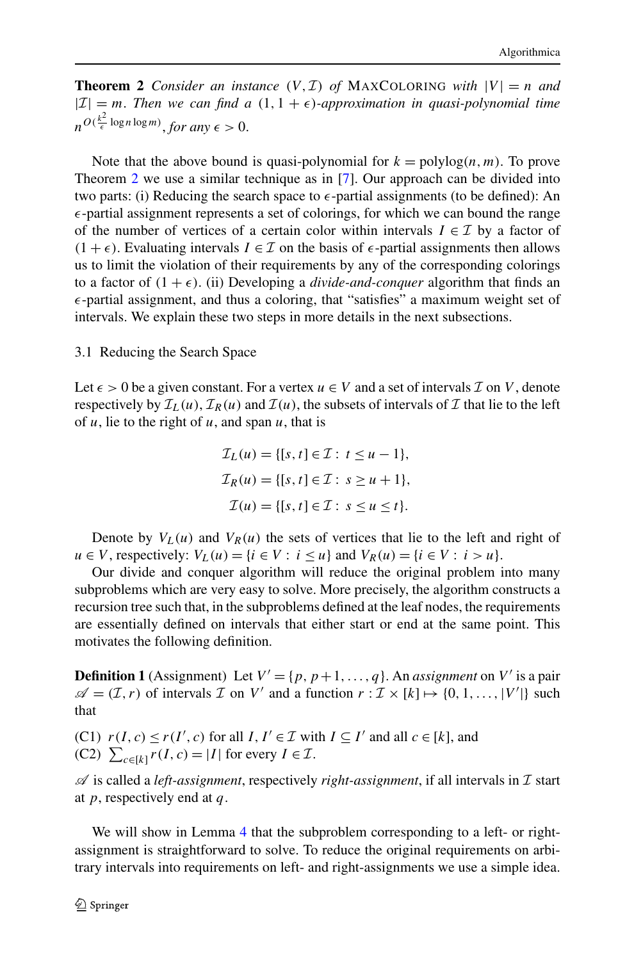**Theorem 2** *Consider an instance*  $(V, \mathcal{I})$  *of* MAXCOLORING *with*  $|V| = n$  *and*  $|I| = m$ . Then we can find a  $(1, 1 + \epsilon)$ -approximation in quasi-polynomial time  $n^{O(\frac{k^2}{\epsilon} \log n \log m)}$ , *for any*  $\epsilon > 0$ .

Note that the above bound is quasi-polynomial for  $k = \text{polylog}(n, m)$ . To prove Theorem 2 we use a similar technique as in [[7\]](#page-19-0). Our approach can be divided into two parts: (i) Reducing the search space to  $\epsilon$ -partial assignments (to be defined): An *-*-partial assignment represents a set of colorings, for which we can bound the range of the number of vertices of a certain color within intervals  $I \in \mathcal{I}$  by a factor of  $(1 + \epsilon)$ . Evaluating intervals *I* ∈ *T* on the basis of  $\epsilon$ -partial assignments then allows us to limit the violation of their requirements by any of the corresponding colorings to a factor of  $(1 + \epsilon)$ . (ii) Developing a *divide-and-conquer* algorithm that finds an *-*-partial assignment, and thus a coloring, that "satisfies" a maximum weight set of intervals. We explain these two steps in more details in the next subsections.

#### 3.1 Reducing the Search Space

Let  $\epsilon > 0$  be a given constant. For a vertex  $u \in V$  and a set of intervals  $\mathcal I$  on  $V$ , denote respectively by  $\mathcal{I}_L(u)$ ,  $\mathcal{I}_R(u)$  and  $\mathcal{I}(u)$ , the subsets of intervals of  $\mathcal I$  that lie to the left of  $u$ , lie to the right of  $u$ , and span  $u$ , that is

$$
\mathcal{I}_L(u) = \{ [s, t] \in \mathcal{I} : t \le u - 1 \},
$$
  
\n
$$
\mathcal{I}_R(u) = \{ [s, t] \in \mathcal{I} : s \ge u + 1 \},
$$
  
\n
$$
\mathcal{I}(u) = \{ [s, t] \in \mathcal{I} : s \le u \le t \}.
$$

Denote by  $V_L(u)$  and  $V_R(u)$  the sets of vertices that lie to the left and right of  $u \in V$ , respectively:  $V_L(u) = \{i \in V : i \leq u\}$  and  $V_R(u) = \{i \in V : i > u\}$ .

Our divide and conquer algorithm will reduce the original problem into many subproblems which are very easy to solve. More precisely, the algorithm constructs a recursion tree such that, in the subproblems defined at the leaf nodes, the requirements are essentially defined on intervals that either start or end at the same point. This motivates the following definition.

**Definition 1** (Assignment) Let  $V' = \{p, p+1, \ldots, q\}$ . An *assignment* on *V'* is a pair  $\mathscr{A} = (\mathcal{I}, r)$  of intervals  $\mathcal{I}$  on  $V'$  and a function  $r : \mathcal{I} \times [k] \mapsto \{0, 1, \ldots, |V'| \}$  such that

(C1)  $r(I, c) \le r(I', c)$  for all  $I, I' \in \mathcal{I}$  with  $I \subseteq I'$  and all  $c \in [k]$ , and  $(C2)$   $\sum_{c \in [k]} r(I, c) = |I|$  for every  $I \in \mathcal{I}$ .

 $\mathscr A$  is called a *left-assignment*, respectively *right-assignment*, if all intervals in  $\mathcal I$  start at *p*, respectively end at *q*.

We will show in Lemma [4](#page-15-0) that the subproblem corresponding to a left- or rightassignment is straightforward to solve. To reduce the original requirements on arbitrary intervals into requirements on left- and right-assignments we use a simple idea.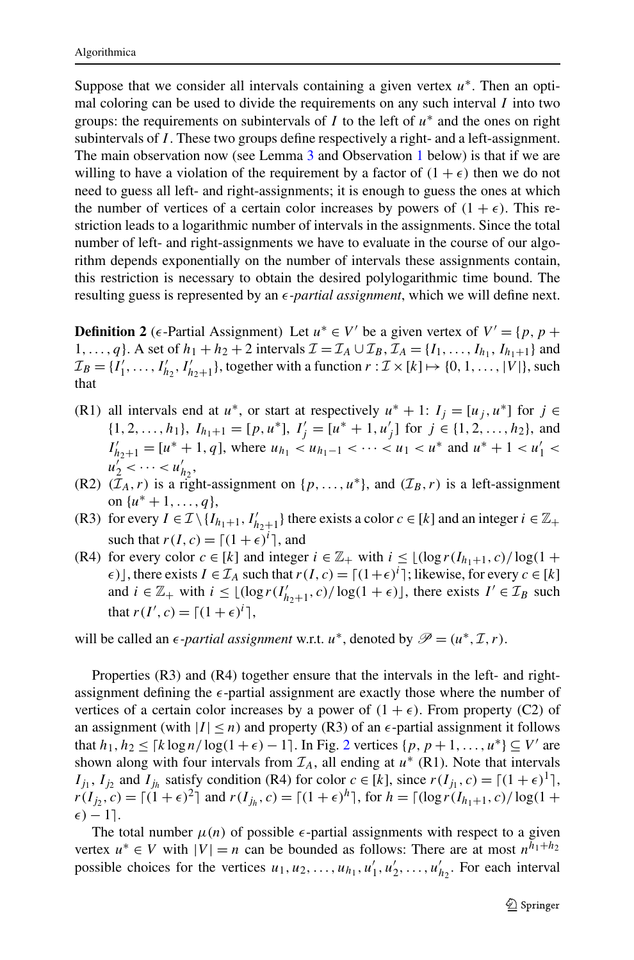<span id="page-10-0"></span>Suppose that we consider all intervals containing a given vertex *u*∗. Then an optimal coloring can be used to divide the requirements on any such interval *I* into two groups: the requirements on subintervals of  $I$  to the left of  $u^*$  and the ones on right subintervals of *I* . These two groups define respectively a right- and a left-assignment. The main observation now (see Lemma [3](#page-12-0) and Observation [1](#page-13-0) below) is that if we are willing to have a violation of the requirement by a factor of  $(1 + \epsilon)$  then we do not need to guess all left- and right-assignments; it is enough to guess the ones at which the number of vertices of a certain color increases by powers of  $(1 + \epsilon)$ . This restriction leads to a logarithmic number of intervals in the assignments. Since the total number of left- and right-assignments we have to evaluate in the course of our algorithm depends exponentially on the number of intervals these assignments contain, this restriction is necessary to obtain the desired polylogarithmic time bound. The resulting guess is represented by an *--partial assignment*, which we will define next.

**Definition 2** ( $\epsilon$ -Partial Assignment) Let  $u^* \in V'$  be a given vertex of  $V' = \{p, p + \epsilon\}$ 1,...,q}. A set of  $h_1 + h_2 + 2$  intervals  $\mathcal{I} = \mathcal{I}_A \cup \mathcal{I}_B$ ,  $\mathcal{I}_A = \{I_1, \ldots, I_{h_1}, I_{h_1+1}\}$  and  $\mathcal{I}_B = \{I'_1, \ldots, I'_{h_2}, I'_{h_2+1}\}\$ , together with a function  $r : \mathcal{I} \times [k] \mapsto \{0, 1, \ldots, |V|\}\$ , such that

- (R1) all intervals end at  $u^*$ , or start at respectively  $u^* + 1$ :  $I_i = [u_i, u^*]$  for  $i \in$  $\{1, 2, \ldots, h_1\}, I_{h_1+1} = [p, u^*], I'_j = [u^* + 1, u'_j]$  for  $j \in \{1, 2, \ldots, h_2\},$  and  $I'_{h_2+1} = [u^* + 1, q]$ , where  $u_{h_1} < u_{h_1-1} < \cdots < u_1 < u^*$  and  $u^* + 1 < u'_1 <$  $u'_2$  <  $\cdots$  <  $u'_{h_2}$ ,
- (R2)  $(\mathcal{I}_A, r)$  is a right-assignment on  $\{p, \ldots, u^*\}$ , and  $(\mathcal{I}_B, r)$  is a left-assignment on  $\{u^* + 1, \ldots, q\}$ ,
- (R3) for every  $I \in \mathcal{I} \setminus \{I_{h_1+1}, I'_{h_2+1}\}\$  there exists a color  $c \in [k]$  and an integer  $i \in \mathbb{Z}_+$ such that  $r(I, c) = \lfloor (1 + \epsilon)^i \rfloor$ , and
- (R4) for every color  $c \in [k]$  and integer  $i \in \mathbb{Z}_+$  with  $i \leq \lfloor (\log r(I_{h_1+1}, c)/\log(1 +$  $\epsilon$ )], there exists  $I \in \mathcal{I}_A$  such that  $r(I, c) = \lceil (1+\epsilon)^i \rceil$ ; likewise, for every  $c \in [k]$ and  $i \in \mathbb{Z}_+$  with  $i \leq \lfloor (\log r(I'_{h_2+1}, c) / \log(1+\epsilon)) \rfloor$ , there exists  $I' \in \mathcal{I}_B$  such that  $r(I', c) = \lceil (1 + \epsilon)^i \rceil$ ,

will be called an  $\epsilon$ -*partial assignment* w.r.t.  $u^*$ , denoted by  $\mathscr{P} = (u^*, \mathcal{I}, r)$ .

Properties (R3) and (R4) together ensure that the intervals in the left- and rightassignment defining the  $\epsilon$ -partial assignment are exactly those where the number of vertices of a certain color increases by a power of  $(1 + \epsilon)$ . From property (C2) of an assignment (with  $|I| \le n$ ) and property (R3) of an  $\epsilon$ -partial assignment it follows that  $h_1, h_2 \text{ ≤ } [k \log n / \log(1 + \epsilon) - 1]$  $h_1, h_2 \text{ ≤ } [k \log n / \log(1 + \epsilon) - 1]$  $h_1, h_2 \text{ ≤ } [k \log n / \log(1 + \epsilon) - 1]$ . In Fig. 2 vertices  $\{p, p + 1, ..., u^*\}$   $\subseteq$  *V'* are shown along with four intervals from  $\mathcal{I}_A$ , all ending at  $u^*$  (R1). Note that intervals *I<sub>j<sub>1</sub>*</sub>, *I<sub>j<sub>2</sub>*</sub> and *I<sub>j<sub>h</sub>*</sub> satisfy condition (R4) for color  $c \in [k]$ , since  $r(I_{j_1}, c) = [(1 + \epsilon)^1]$ ,  $r(I_{j_2}, c) = \lceil (1 + \epsilon)^2 \rceil$  and  $r(I_{j_h}, c) = \lceil (1 + \epsilon)^h \rceil$ , for  $h = \lceil (\log r(I_{h_1+1}, c) / \log(1 + \epsilon)) \rceil$  $\epsilon$ ) – 1].

The total number  $\mu(n)$  of possible  $\epsilon$ -partial assignments with respect to a given vertex  $u^* \in V$  with  $|V| = n$  can be bounded as follows: There are at most  $n^{h_1 + h_2}$ possible choices for the vertices  $u_1, u_2, \ldots, u_{h_1}, u'_1, u'_2, \ldots, u'_{h_2}$ . For each interval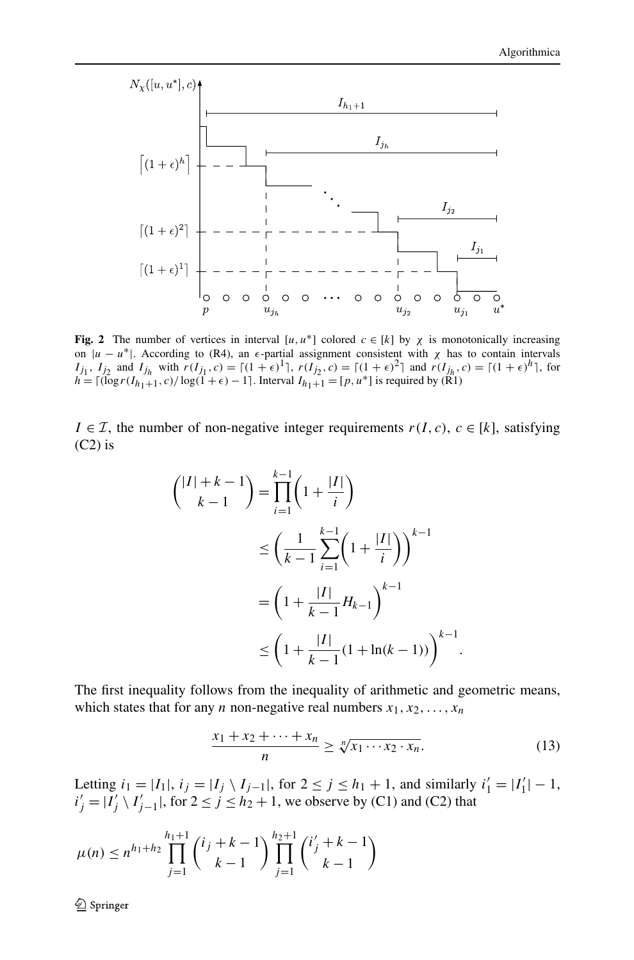<span id="page-11-0"></span>

**Fig. 2** The number of vertices in interval [*u, u*<sup>\*</sup>] colored  $c \in [k]$  by  $\chi$  is monotonically increasing on  $|u - u^*|$ . According to (R4), an  $\epsilon$ -partial assignment consistent with  $\chi$  has to contain intervals *I<sub>j1</sub>*, *I<sub>j2</sub>* and *I<sub>jh</sub>* with  $r(I_{j_1}, c) = [(1 + \epsilon)^1]$ ,  $r(I_{j_2}, c) = [(1 + \epsilon)^2]$  and  $r(I_{j_h}, c) = [(1 + \epsilon)^h]$ , for  $h = \left[ (\log r(I_{h_1+1}, c) / \log(1 + \epsilon) - 1 \right]$ . Interval  $I_{h_1+1} = [p, u^*]$  is required by  $(\mathbb{R}^1)$ 

*I* ∈ *I*, the number of non-negative integer requirements  $r(I, c)$ ,  $c \in [k]$ , satisfying  $(C2)$  is

$$
\binom{|I| + k - 1}{k - 1} = \prod_{i=1}^{k-1} \left( 1 + \frac{|I|}{i} \right)
$$
  
\n
$$
\leq \left( \frac{1}{k-1} \sum_{i=1}^{k-1} \left( 1 + \frac{|I|}{i} \right) \right)^{k-1}
$$
  
\n
$$
= \left( 1 + \frac{|I|}{k-1} H_{k-1} \right)^{k-1}
$$
  
\n
$$
\leq \left( 1 + \frac{|I|}{k-1} (1 + \ln(k-1)) \right)^{k-1}.
$$

The first inequality follows from the inequality of arithmetic and geometric means, which states that for any *n* non-negative real numbers  $x_1, x_2, \ldots, x_n$ 

$$
\frac{x_1 + x_2 + \dots + x_n}{n} \ge \sqrt[n]{x_1 \cdots x_2 \cdot x_n}.\tag{13}
$$

Letting  $i_1 = |I_1|, i_j = |I_j \setminus I_{j-1}|$ , for  $2 \le j \le h_1 + 1$ , and similarly  $i'_1 = |I'_1| - 1$ ,  $i'_j = |I'_j \setminus I'_{j-1}|$ , for  $2 \le j \le h_2 + 1$ , we observe by (C1) and (C2) that

$$
\mu(n) \le n^{h_1 + h_2} \prod_{j=1}^{h_1 + 1} {i_j + k - 1 \choose k - 1} \prod_{j=1}^{h_2 + 1} {i'_j + k - 1 \choose k - 1}
$$

 $\mathcal{D}$  Springer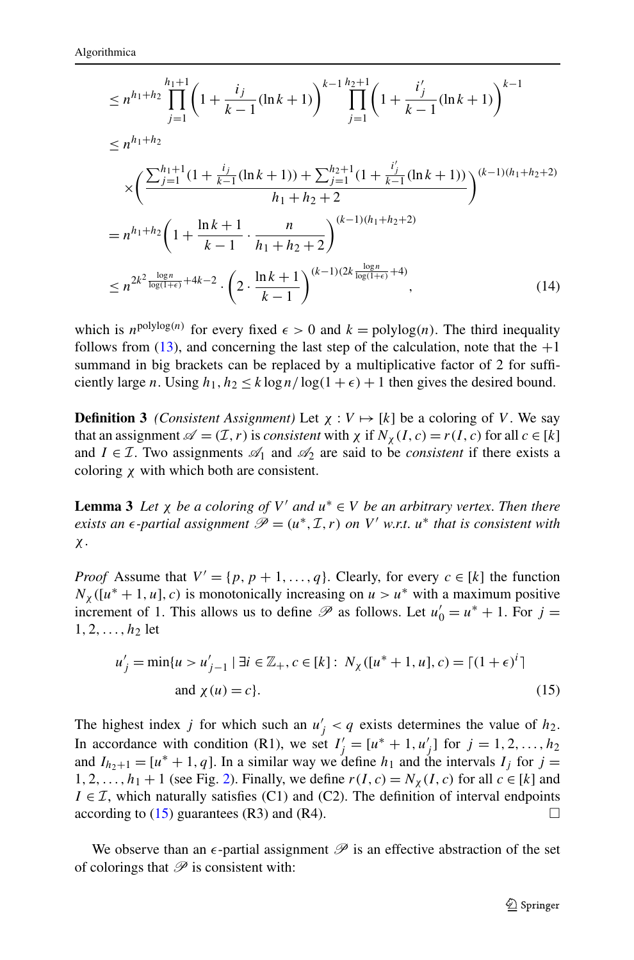<span id="page-12-0"></span>
$$
\leq n^{h_1+h_2} \prod_{j=1}^{h_1+1} \left(1 + \frac{i_j}{k-1}(\ln k + 1)\right)^{k-1} \prod_{j=1}^{h_2+1} \left(1 + \frac{i'_j}{k-1}(\ln k + 1)\right)^{k-1}
$$
\n
$$
\leq n^{h_1+h_2}
$$
\n
$$
\times \left(\frac{\sum_{j=1}^{h_1+1} (1 + \frac{i_j}{k-1}(\ln k + 1)) + \sum_{j=1}^{h_2+1} (1 + \frac{i'_j}{k-1}(\ln k + 1))}{h_1 + h_2 + 2}\right)^{(k-1)(h_1 + h_2 + 2)}
$$
\n
$$
= n^{h_1+h_2} \left(1 + \frac{\ln k + 1}{k-1} \cdot \frac{n}{h_1 + h_2 + 2}\right)^{(k-1)(h_1 + h_2 + 2)}
$$
\n
$$
\leq n^{2k^2 \frac{\log n}{\log(1+\epsilon)} + 4k - 2} \cdot \left(2 \cdot \frac{\ln k + 1}{k-1}\right)^{(k-1)(2k \frac{\log n}{\log(1+\epsilon)} + 4)},
$$
\n(14)

which is  $n^{\text{polylog}(n)}$  for every fixed  $\epsilon > 0$  and  $k = \text{polylog}(n)$ . The third inequality follows from  $(13)$  $(13)$ , and concerning the last step of the calculation, note that the  $+1$ summand in big brackets can be replaced by a multiplicative factor of 2 for sufficiently large *n*. Using  $h_1, h_2 \le k \log n / \log(1 + \epsilon) + 1$  then gives the desired bound.

**Definition 3** *(Consistent Assignment)* Let  $\chi : V \mapsto [k]$  be a coloring of *V*. We say that an assignment  $\mathscr{A} = (\mathcal{I}, r)$  is *consistent* with  $\chi$  if  $N_{\chi}(I, c) = r(I, c)$  for all  $c \in [k]$ and  $I \in \mathcal{I}$ . Two assignments  $\mathcal{A}_1$  and  $\mathcal{A}_2$  are said to be *consistent* if there exists a coloring *χ* with which both are consistent.

**Lemma 3** *Let*  $\chi$  *be a coloring of*  $V'$  *and*  $u^* \in V$  *be an arbitrary vertex. Then there exists an*  $\epsilon$ -partial assignment  $\mathscr{P} = (u^*, \mathcal{I}, r)$  *on*  $V'$  *w.r.t.*  $u^*$  *that is consistent with χ*.

*Proof* Assume that  $V' = \{p, p + 1, \ldots, q\}$ . Clearly, for every  $c \in [k]$  the function  $N_\chi$  ([ $u^* + 1, u$ ]*, c*) is monotonically increasing on  $u > u^*$  with a maximum positive increment of 1. This allows us to define  $\mathcal P$  as follows. Let  $u'_0 = u^* + 1$ . For  $j =$  $1, 2, \ldots, h_2$  let

$$
u'_{j} = \min\{u > u'_{j-1} \mid \exists i \in \mathbb{Z}_{+}, c \in [k]: N_{\chi}([u^{*} + 1, u], c) = \lceil (1 + \epsilon)^{i} \rceil
$$
  
and  $\chi(u) = c\}.$  (15)

The highest index *j* for which such an  $u'_j < q$  exists determines the value of  $h_2$ . In accordance with condition (R1), we set  $I'_{j} = [u^{*} + 1, u'_{j}]$  for  $j = 1, 2, ..., h_{2}$ and  $I_{h_2+1} = [u^* + 1, q]$ . In a similar way we define  $h_1$  and the intervals  $I_i$  for  $j =$ 1, 2,  $\dots$ ,  $h_1 + 1$  (see Fig. [2\)](#page-11-0). Finally, we define  $r(I, c) = N_\chi(I, c)$  for all  $c \in [k]$  and  $I \in \mathcal{I}$ , which naturally satisfies (C1) and (C2). The definition of interval endpoints according to  $(15)$  guarantees  $(R3)$  and  $(R4)$ .

We observe than an  $\epsilon$ -partial assignment  $\mathscr P$  is an effective abstraction of the set of colorings that  $\mathscr P$  is consistent with: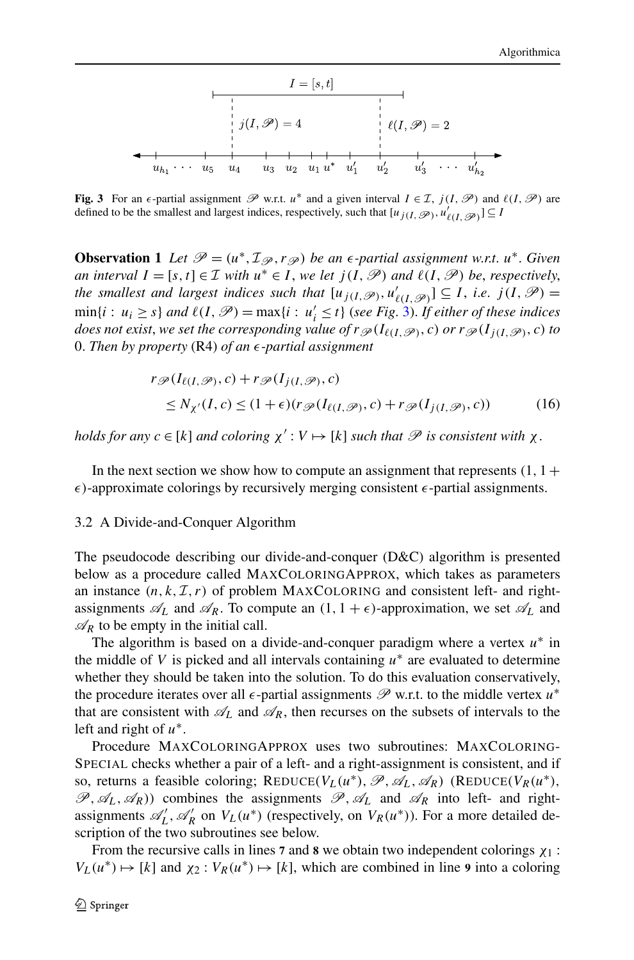<span id="page-13-0"></span>

**Fig. 3** For an  $\epsilon$ -partial assignment  $\mathscr{P}$  w.r.t.  $u^*$  and a given interval  $I \in \mathcal{I}$ ,  $j(I, \mathscr{P})$  and  $\ell(I, \mathscr{P})$  are defined to be the smallest and largest indices, respectively, such that  $[u_{j(I, \mathcal{P})}, u'_{\ell(I, \mathcal{P})}] \subseteq I$ 

**Observation 1** *Let*  $\mathcal{P} = (u^*, \mathcal{I}_{\mathcal{P}}, r_{\mathcal{P}})$  *be an*  $\epsilon$ *-partial assignment w.r.t.*  $u^*$ *. Given an interval*  $I = [s, t] \in \mathcal{I}$  *with*  $u^* \in I$ , *we let*  $j(I, \mathcal{P})$  *and*  $\ell(I, \mathcal{P})$  *be, respectively, the smallest and largest indices such that*  $[u_{j(I, \mathcal{P}),} u'_{\ell(I, \mathcal{P})}] \subseteq I$ , *i.e.*  $j(I, \mathcal{P}) =$  $\min\{i : u_i \geq s\}$  *and*  $\ell(I, \mathscr{P}) = \max\{i : u'_i \leq t\}$  (*see Fig. 3). If either of these indices does not exist, we set the corresponding value of*  $r \mathscr{D}(I_{(I \cup \mathscr{D})}, c)$  *or*  $r \mathscr{D}(I_{(I \cup \mathscr{D})}, c)$  *to* 0. *Then by property* (R4) *of an --partial assignment*

$$
r\mathcal{P}(I_{\ell(1,\mathcal{P})},c) + r\mathcal{P}(I_{j(1,\mathcal{P})},c)
$$
  
\n
$$
\leq N_{\chi'}(I,c) \leq (1+\epsilon)(r\mathcal{P}(I_{\ell(1,\mathcal{P})},c) + r\mathcal{P}(I_{j(1,\mathcal{P})},c))
$$
 (16)

*holds for any*  $c \in [k]$  *and coloring*  $\chi' : V \mapsto [k]$  *such that*  $\mathcal P$  *is consistent with*  $\chi$ .

In the next section we show how to compute an assignment that represents  $(1, 1 +$  $\epsilon$ )-approximate colorings by recursively merging consistent  $\epsilon$ -partial assignments.

# 3.2 A Divide-and-Conquer Algorithm

The pseudocode describing our divide-and-conquer (D&C) algorithm is presented below as a procedure called MAXCOLORINGAPPROX, which takes as parameters an instance  $(n, k, \mathcal{I}, r)$  of problem MAXCOLORING and consistent left- and rightassignments  $\mathscr{A}_L$  and  $\mathscr{A}_R$ . To compute an  $(1, 1 + \epsilon)$ -approximation, we set  $\mathscr{A}_L$  and  $\mathscr{A}_R$  to be empty in the initial call.

The algorithm is based on a divide-and-conquer paradigm where a vertex *u*<sup>∗</sup> in the middle of *V* is picked and all intervals containing  $u^*$  are evaluated to determine whether they should be taken into the solution. To do this evaluation conservatively, the procedure iterates over all  $\epsilon$ -partial assignments  $\mathscr P$  w.r.t. to the middle vertex  $u^*$ that are consistent with  $\mathscr{A}_L$  and  $\mathscr{A}_R$ , then recurses on the subsets of intervals to the left and right of *u*∗.

Procedure MAXCOLORINGAPPROX uses two subroutines: MAXCOLORING-SPECIAL checks whether a pair of a left- and a right-assignment is consistent, and if so, returns a feasible coloring; REDUCE( $V_L(u^*)$ ,  $\mathscr{P}, \mathscr{A}_L, \mathscr{A}_R$ ) (REDUCE( $V_R(u^*)$ ,  $\mathscr{P}, \mathscr{A}_L, \mathscr{A}_R$ ) combines the assignments  $\mathscr{P}, \mathscr{A}_L$  and  $\mathscr{A}_R$  into left- and rightassignments  $\mathscr{A}'_L$ ,  $\mathscr{A}'_R$  on  $V_L(u^*)$  (respectively, on  $V_R(u^*)$ ). For a more detailed description of the two subroutines see below.

From the recursive calls in lines **7** and **8** we obtain two independent colorings  $\chi_1$ :  $V_L(u^*) \mapsto [k]$  and  $\chi_2 : V_R(u^*) \mapsto [k]$ , which are combined in line 9 into a coloring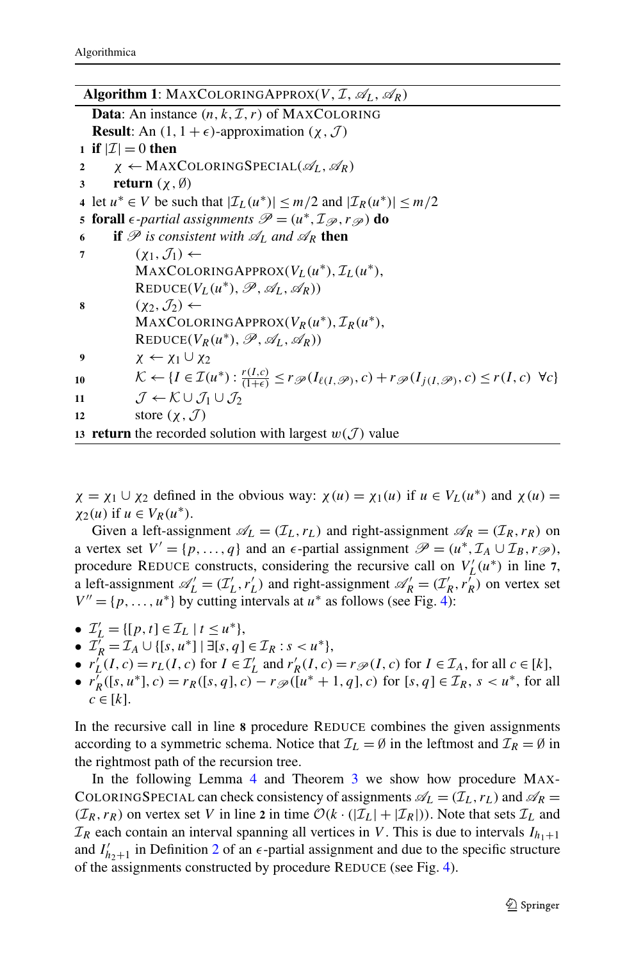| <b>Algorithm 1:</b> MAXCOLORINGAPPROX(V, $\mathcal{I}, \mathcal{A}_L, \mathcal{A}_R$ )                                                                                                                     |
|------------------------------------------------------------------------------------------------------------------------------------------------------------------------------------------------------------|
| <b>Data:</b> An instance $(n, k, \mathcal{I}, r)$ of MAXCOLORING                                                                                                                                           |
| <b>Result:</b> An $(1, 1 + \epsilon)$ -approximation $(\chi, \mathcal{J})$                                                                                                                                 |
| 1 if $ \mathcal{I}  = 0$ then                                                                                                                                                                              |
| $\chi \leftarrow \text{MAXColoRINGSPECIAL}(\mathscr{A}_L, \mathscr{A}_R)$<br>$\overline{2}$                                                                                                                |
| <b>return</b> $(\chi, \emptyset)$<br>3                                                                                                                                                                     |
| 4 let $u^* \in V$ be such that $ \mathcal{I}_L(u^*)  \leq m/2$ and $ \mathcal{I}_R(u^*)  \leq m/2$                                                                                                         |
| 5 forall $\epsilon$ -partial assignments $\mathscr{P} = (u^*, \mathcal{I}, \mathcal{P}, r, \mathcal{P})$ do                                                                                                |
| <b>if</b> $\mathscr P$ is consistent with $\mathscr A_L$ and $\mathscr A_R$ then<br>6                                                                                                                      |
| $(\chi_1, \mathcal{J}_1) \leftarrow$<br>7                                                                                                                                                                  |
| MAXCOLORINGAPPROX $(V_L(u^*), \mathcal{I}_L(u^*),$                                                                                                                                                         |
| REDUCE( $V_L(u^*)$ , $\mathscr{P}, \mathscr{A}_L, \mathscr{A}_R$ ))                                                                                                                                        |
| $(\chi_2, \mathcal{J}_2) \leftarrow$<br>8                                                                                                                                                                  |
| MAXCOLORINGAPPROX $(V_R(u^*), \mathcal{I}_R(u^*),$                                                                                                                                                         |
| REDUCE( $V_R(u^*), \mathscr{P}, \mathscr{A}_L, \mathscr{A}_R$ ))                                                                                                                                           |
| $\chi \leftarrow \chi_1 \cup \chi_2$<br>9                                                                                                                                                                  |
| $\mathcal{K} \leftarrow \{I \in \mathcal{I}(u^*) : \frac{r(I,c)}{(1+\epsilon)} \leq r \mathcal{P}(I_{\ell(I, \mathcal{P})}, c) + r \mathcal{P}(I_{j(I, \mathcal{P})}, c) \leq r(I, c) \ \forall c\}$<br>10 |
| $J \leftarrow \mathcal{K} \cup J_1 \cup J_2$<br>11                                                                                                                                                         |
| store $(\chi, \mathcal{J})$<br>12                                                                                                                                                                          |
| 13 <b>return</b> the recorded solution with largest $w(\mathcal{J})$ value                                                                                                                                 |

 $\chi = \chi_1 \cup \chi_2$  defined in the obvious way:  $\chi(u) = \chi_1(u)$  if  $u \in V_L(u^*)$  and  $\chi(u) =$ *χ*<sub>2</sub>*(u)* if *u* ∈ *V<sub>R</sub>*(*u*<sup>\*</sup>).

Given a left-assignment  $\mathscr{A}_L = (\mathcal{I}_L, r_L)$  and right-assignment  $\mathscr{A}_R = (\mathcal{I}_R, r_R)$  on a vertex set  $V' = \{p, ..., q\}$  and an  $\epsilon$ -partial assignment  $\mathscr{P} = (u^*, \mathcal{I}_A \cup \mathcal{I}_B, r_{\mathscr{P}})$ , procedure REDUCE constructs, considering the recursive call on  $V_L'(u^*)$  in line 7, a left-assignment  $\mathscr{A}'_L = (\mathcal{I}'_L, r'_L)$  and right-assignment  $\mathscr{A}'_R = (\mathcal{I}'_R, r'_R)$  on vertex set  $V'' = \{p, \ldots, u^*\}$  by cutting intervals at  $u^*$  as follows (see Fig. [4](#page-15-0)):

- $\mathcal{I}'_L = \{ [p, t] \in \mathcal{I}_L \mid t \leq u^* \},\$
- $\mathcal{I}_R^{\gamma} = \mathcal{I}_A \cup \{ [s, u^*] \mid \exists [s, q] \in \mathcal{I}_R : s < u^* \},\$
- $r_L^{\prime}(I, c) = r_L(I, c)$  for  $I \in \mathcal{I}_L^{\prime}$  and  $r_R^{\prime}(I, c) = r_{\mathcal{P}}(I, c)$  for  $I \in \mathcal{I}_A$ , for all  $c \in [k]$ ,
- $r_R^{\gamma}([s, u^*], c) = r_R([s, q], c) r_{\mathscr{P}}([u^* + 1, q], c)$  for  $[s, q] \in \mathcal{I}_R$ ,  $s < u^*$ , for all  $c \in [k]$ .

In the recursive call in line **8** procedure REDUCE combines the given assignments according to a symmetric schema. Notice that  $\mathcal{I}_L = \emptyset$  in the leftmost and  $\mathcal{I}_R = \emptyset$  in the rightmost path of the recursion tree.

In the following Lemma [4](#page-15-0) and Theorem [3](#page-16-0) we show how procedure MAX-COLORINGSPECIAL can check consistency of assignments  $\mathscr{A}_L = (\mathcal{I}_L, r_L)$  and  $\mathscr{A}_R =$  $(\mathcal{I}_R, r_R)$  on vertex set *V* in line 2 in time  $\mathcal{O}(k \cdot (|\mathcal{I}_L| + |\mathcal{I}_R|))$ . Note that sets  $\mathcal{I}_L$  and  $\mathcal{I}_R$  each contain an interval spanning all vertices in *V*. This is due to intervals  $I_{h_1+1}$ and  $I'_{h_2+1}$  $I'_{h_2+1}$  $I'_{h_2+1}$  in Definition 2 of an  $\epsilon$ -partial assignment and due to the specific structure of the assignments constructed by procedure REDUCE (see Fig. [4](#page-15-0)).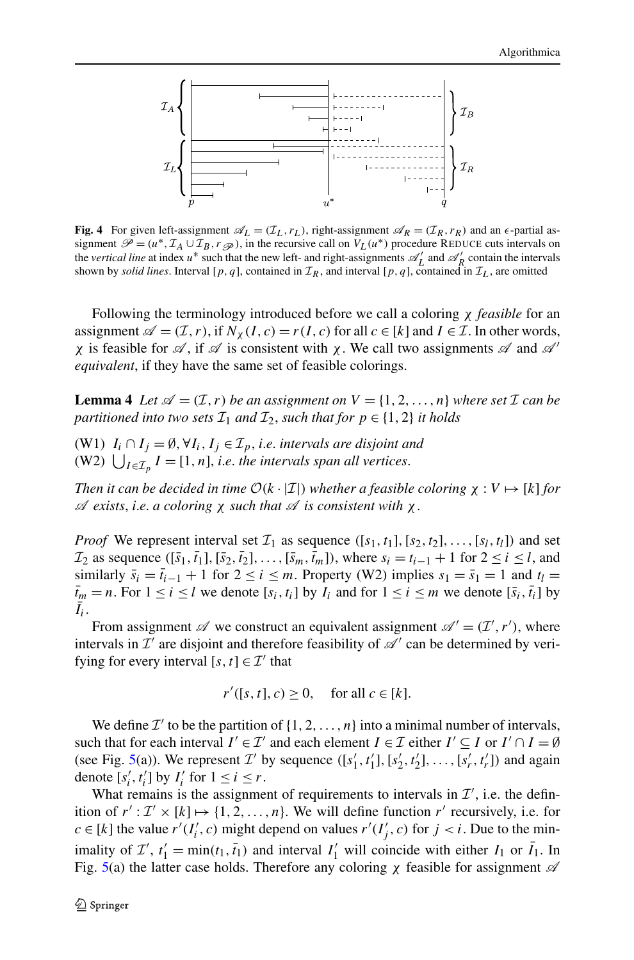<span id="page-15-0"></span>

**Fig. 4** For given left-assignment  $\mathscr{A}_L = (\mathcal{I}_L, r_L)$ , right-assignment  $\mathscr{A}_R = (\mathcal{I}_R, r_R)$  and an  $\epsilon$ -partial assignment  $\mathscr{P} = (u^*, \mathcal{I}_A \cup \mathcal{I}_B, r_{\mathscr{P}})$ , in the recursive call on  $V_L(u^*)$  procedure REDUCE cuts intervals on the *vertical line* at index  $u^*$  such that the new left- and right-assignments  $\mathscr{A}'_L$  and  $\mathscr{A}'_R$  contain the intervals shown by *solid lines*. Interval [ $p, q$ ], contained in  $\mathcal{I}_R$ , and interval [ $p, q$ ], contained in  $\mathcal{I}_L$ , are omitted

Following the terminology introduced before we call a coloring *χ feasible* for an assignment  $\mathscr{A} = (\mathcal{I}, r)$ , if  $N_{\chi}(I, c) = r(I, c)$  for all  $c \in [k]$  and  $I \in \mathcal{I}$ . In other words, *χ* is feasible for  $\mathscr A$ , if  $\mathscr A$  is consistent with *χ*. We call two assignments  $\mathscr A$  and  $\mathscr A'$ *equivalent*, if they have the same set of feasible colorings.

**Lemma 4** *Let*  $\mathcal{A} = (\mathcal{I}, r)$  *be an assignment on*  $V = \{1, 2, ..., n\}$  *where set*  $\mathcal{I}$  *can be partitioned into two sets*  $\mathcal{I}_1$  *and*  $\mathcal{I}_2$ *, such that for*  $p \in \{1, 2\}$  *it holds* 

(W1)  $I_i \cap I_j = \emptyset, \forall I_i, I_j \in \mathcal{I}_p$ , *i.e. intervals are disjoint and* (W2)  $\bigcup_{I \in \mathcal{I}_p} I = [1, n]$ , *i.e. the intervals span all vertices.* 

*Then it can be decided in time*  $\mathcal{O}(k \cdot |\mathcal{I}|)$  *whether a feasible coloring*  $\chi : V \mapsto [k]$  *for*  $\mathscr A$  *exists, i.e. a coloring*  $\chi$  *such that*  $\mathscr A$  *is consistent with*  $\chi$ *.* 

*Proof* We represent interval set  $\mathcal{I}_1$  as sequence  $([s_1, t_1], [s_2, t_2], \ldots, [s_l, t_l])$  and set  $\mathcal{I}_2$  as sequence  $([\bar{s}_1, \bar{t}_1], [\bar{s}_2, \bar{t}_2], \ldots, [\bar{s}_m, \bar{t}_m])$ , where  $s_i = t_{i-1} + 1$  for  $2 \le i \le l$ , and similarly  $\bar{s}_i = \bar{t}_{i-1} + 1$  for  $2 \le i \le m$ . Property (W2) implies  $s_1 = \bar{s}_1 = 1$  and  $t_l =$  $\bar{t}_m = n$ . For  $1 \le i \le l$  we denote  $[s_i, t_i]$  by  $I_i$  and for  $1 \le i \le m$  we denote  $[\bar{s}_i, \bar{t}_i]$  by  $\bar{I}_i$ .

From assignment  $\mathscr A$  we construct an equivalent assignment  $\mathscr A' = (\mathcal I', r')$ , where intervals in  $\mathcal{I}'$  are disjoint and therefore feasibility of  $\mathcal{A}'$  can be determined by verifying for every interval [s, t]  $\in \mathcal{I}'$  that

$$
r'([s, t], c) \ge 0, \quad \text{for all } c \in [k].
$$

We define  $\mathcal{I}'$  to be the partition of  $\{1, 2, \ldots, n\}$  into a minimal number of intervals, such that for each interval  $I' \in \mathcal{I}'$  and each element  $I \in \mathcal{I}$  either  $I' \subseteq I$  or  $I' \cap I = \emptyset$ (see Fig. [5](#page-16-0)(a)). We represent  $\mathcal{I}'$  by sequence  $([s'_1, t'_1], [s'_2, t'_2], \ldots, [s'_r, t'_r])$  and again denote  $[s'_i, t'_i]$  by  $I'_i$  for  $1 \le i \le r$ .

What remains is the assignment of requirements to intervals in  $\mathcal{I}'$ , i.e. the definition of  $r' : \mathcal{I}' \times [k] \mapsto \{1, 2, ..., n\}$ . We will define function  $r'$  recursively, i.e. for *c* ∈ [*k*] the value *r*<sup>'</sup>( $I'_i$ , *c*) might depend on values *r*<sup>'</sup>( $I'_j$ , *c*) for *j* < *i*. Due to the minimality of  $\mathcal{I}', t'_1 = \min(t_1, \bar{t}_1)$  and interval  $I'_1$  will coincide with either  $I_1$  or  $\bar{I}_1$ . In Fig. [5\(](#page-16-0)a) the latter case holds. Therefore any coloring  $\chi$  feasible for assignment  $\mathscr A$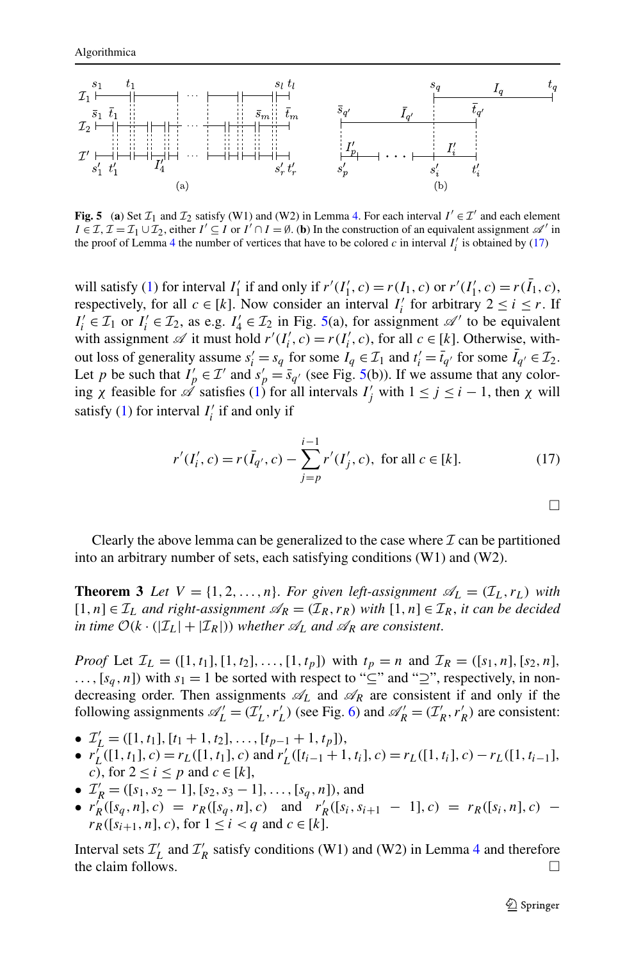<span id="page-16-0"></span>

**Fig. 5** (a) Set  $\mathcal{I}_1$  and  $\mathcal{I}_2$  satisfy (W1) and (W2) in Lemma [4](#page-15-0). For each interval  $I' \in \mathcal{I}'$  and each element  $I \in \mathcal{I}, \mathcal{I} = \mathcal{I}_1 \cup \mathcal{I}_2$ , either  $I' \subseteq I$  or  $I' \cap I = \emptyset$ . (**b**) In the construction of an equivalent assignment  $\mathscr{A}'$  in the proof of Lemma [4](#page-15-0) the number of vertices that have to be colored *c* in interval  $I_i'$  is obtained by (17)

will satisfy ([1\)](#page-2-0) for interval  $I'_1$  if and only if  $r'(I'_1, c) = r(I_1, c)$  or  $r'(I'_1, c) = r(\bar{I}_1, c)$ , respectively, for all  $c \in [k]$ . Now consider an interval  $I'_i$  for arbitrary  $2 \le i \le r$ . If  $I'_i \in I_1$  or  $I'_i \in I_2$ , as e.g.  $I'_4 \in I_2$  in Fig. 5(a), for assignment  $\mathscr{A}'$  to be equivalent with assignment  $\mathscr A$  it must hold  $r'(I'_i, c) = r(I'_i, c)$ , for all  $c \in [k]$ . Otherwise, without loss of generality assume  $s'_i = s_q$  for some  $I_q \in \mathcal{I}_1$  and  $t'_i = \bar{t}_{q'}$  for some  $\bar{I}_{q'} \in \mathcal{I}_2$ . Let *p* be such that  $I'_p \in \mathcal{I}'$  and  $s'_p = \bar{s}_{q'}$  (see Fig. 5(b)). If we assume that any coloring *χ* feasible for  $\mathscr A$  satisfies [\(1\)](#page-2-0) for all intervals  $I'_j$  with  $1 \le j \le i - 1$ , then *χ* will satisfy ([1\)](#page-2-0) for interval  $I'_i$  if and only if

$$
r'(I'_i, c) = r(\bar{I}_{q'}, c) - \sum_{j=p}^{i-1} r'(I'_j, c), \text{ for all } c \in [k].
$$
 (17)

 $\Box$ 

Clearly the above lemma can be generalized to the case where  $\mathcal I$  can be partitioned into an arbitrary number of sets, each satisfying conditions (W1) and (W2).

**Theorem 3** Let  $V = \{1, 2, ..., n\}$ . For given left-assignment  $\mathscr{A}_L = (\mathcal{I}_L, r_L)$  with  $[1,n] \in \mathcal{I}_L$  *and right-assignment*  $\mathscr{A}_R = (\mathcal{I}_R,r_R)$  *with*  $[1,n] \in \mathcal{I}_R$ , *it can be decided in time*  $O(k \cdot (|\mathcal{I}_L| + |\mathcal{I}_R|))$  *whether*  $\mathscr{A}_L$  *and*  $\mathscr{A}_R$  *are consistent.* 

*Proof* Let  $\mathcal{I}_L = (\{1, t_1\}, \{1, t_2\}, \ldots, \{1, t_p\})$  with  $t_p = n$  and  $\mathcal{I}_R = (\{s_1, n\}, \{s_2, n\}, \{1, t_2\}, \ldots, \{1, t_p\})$  $...$ , [*s<sub>q</sub>*, *n*]) with *s*<sub>1</sub> = 1 be sorted with respect to "⊆" and "⊇", respectively, in nondecreasing order. Then assignments  $\mathscr{A}_L$  and  $\mathscr{A}_R$  are consistent if and only if the following assignments  $\mathscr{A}'_L = (\mathcal{I}'_L, r'_L)$  (see Fig. [6\)](#page-17-0) and  $\mathscr{A}'_R = (\mathcal{I}'_R, r'_R)$  are consistent:

- $\mathcal{I}'_L$  = ([1, t<sub>1</sub>], [t<sub>1</sub> + 1, t<sub>2</sub>], ..., [t<sub>p−1</sub> + 1, t<sub>p</sub>]),
- $r_L^r([1, t_1], c) = r_L([1, t_1], c)$  and  $r_L^r([t_{i-1} + 1, t_i], c) = r_L([1, t_i], c) r_L([1, t_{i-1}],$ *c*), for  $2 \le i \le p$  and  $c \in [k]$ ,
- $\mathcal{I}'_R = (\{s_1, s_2 1\}, \{s_2, s_3 1\}, \ldots, \{s_q, n\})$ , and
- $r_R^r([s_q, n], c) = r_R([s_q, n], c)$  and  $r_R^r([s_i, s_{i+1} 1], c) = r_R([s_i, n], c)$  $r_R([s_{i+1}, n], c)$ , for  $1 \le i < q$  and  $c \in [k]$ .

Interval sets  $\mathcal{I}'_L$  and  $\mathcal{I}'_R$  satisfy conditions (W1) and (W2) in Lemma [4](#page-15-0) and therefore the claim follows.  $\Box$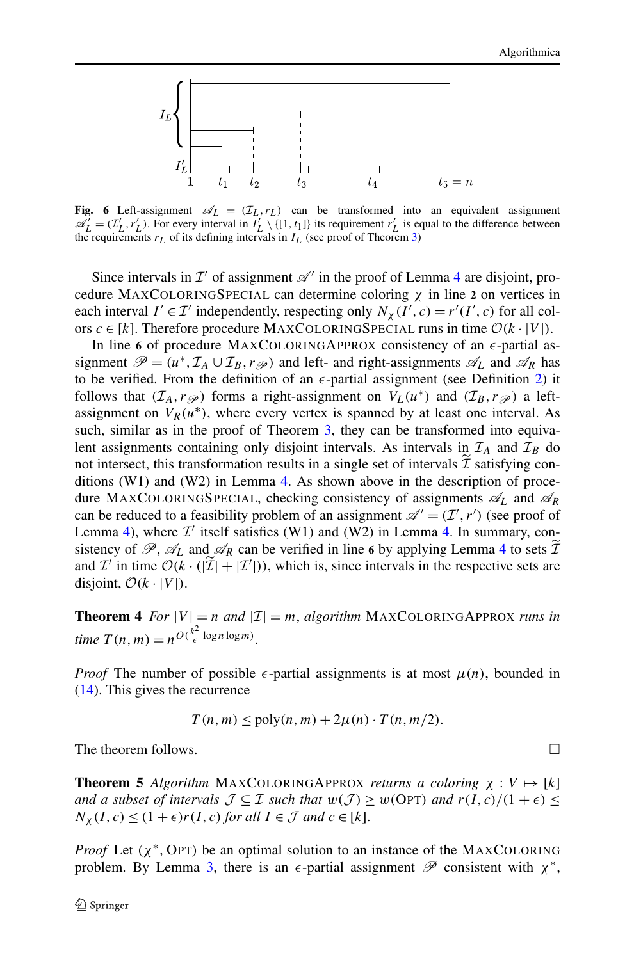<span id="page-17-0"></span>

**Fig. 6** Left-assignment  $\mathscr{A}_L = (\mathcal{I}_L, r_L)$  can be transformed into an equivalent assignment  $\mathscr{A}_L^I = (\mathcal{I}'_L, r'_L)$ . For every interval in  $I'_L \setminus \{[1, t_1]\}$  its requirement  $r'_L$  is equal to the difference between the requirements  $r_L$  of its defining intervals in  $I_L$  (see proof of Theorem [3](#page-16-0))

Since intervals in T' of assignment  $\mathscr{A}'$  in the proof of Lemma [4](#page-15-0) are disjoint, procedure MAXCOLORINGSPECIAL can determine coloring *χ* in line **2** on vertices in each interval  $I' \in \mathcal{I}'$  independently, respecting only  $N_{\chi}(I', c) = r'(I', c)$  for all colors  $c \in [k]$ . Therefore procedure MAXCOLORINGSPECIAL runs in time  $\mathcal{O}(k \cdot |V|)$ .

In line 6 of procedure MAXCOLORINGAPPROX consistency of an  $\epsilon$ -partial assignment  $\mathcal{P} = (u^*, \mathcal{I}_A \cup \mathcal{I}_B, r_{\mathcal{P}})$  and left- and right-assignments  $\mathcal{A}_L$  and  $\mathcal{A}_R$  has to be verified. From the definition of an  $\epsilon$ -partial assignment (see Definition [2\)](#page-10-0) it follows that  $(\mathcal{I}_A, r_{\mathcal{P}})$  forms a right-assignment on  $V_L(u^*)$  and  $(\mathcal{I}_B, r_{\mathcal{P}})$  a leftassignment on  $V_R(u^*)$ , where every vertex is spanned by at least one interval. As such, similar as in the proof of Theorem [3,](#page-16-0) they can be transformed into equivalent assignments containing only disjoint intervals. As intervals in  $\mathcal{I}_A$  and  $\mathcal{I}_B$  do not intersect, this transformation results in a single set of intervals  $\tilde{\mathcal{I}}$  satisfying conditions (W1) and (W2) in Lemma [4.](#page-15-0) As shown above in the description of procedure MAXCOLORINGSPECIAL, checking consistency of assignments  $\mathscr{A}_L$  and  $\mathscr{A}_R$ can be reduced to a feasibility problem of an assignment  $\mathcal{A}' = (\mathcal{I}', r')$  (see proof of Lemma [4](#page-15-0)), where  $\mathcal{I}'$  itself satisfies (W1) and (W2) in Lemma [4.](#page-15-0) In summary, consistency of  $\mathscr{P}, \mathscr{A}_L$  and  $\mathscr{A}_R$  can be verified in line 6 by applying Lemma [4](#page-15-0) to sets  $\mathcal I$ and  $\mathcal{I}'$  in time  $\mathcal{O}(k \cdot (|\mathcal{I}| + |\mathcal{I}'|))$ , which is, since intervals in the respective sets are disjoint,  $\mathcal{O}(k \cdot |V|)$ .

**Theorem 4** *For*  $|V| = n$  *and*  $|I| = m$ , *algorithm* MAXCOLORINGAPPROX *runs in time*  $T(n, m) = n^{O(\frac{k^2}{\epsilon} \log n \log m)}$ .

*Proof* The number of possible  $\epsilon$ -partial assignments is at most  $\mu(n)$ , bounded in [\(14](#page-11-0)). This gives the recurrence

$$
T(n, m) \leq \text{poly}(n, m) + 2\mu(n) \cdot T(n, m/2).
$$

The theorem follows.  $\Box$ 

**Theorem 5** *Algorithm* MAXCOLORINGAPPROX *returns a coloring*  $\chi : V \mapsto [k]$ *and a subset of intervals*  $\mathcal{J} \subseteq \mathcal{I}$  *such that*  $w(\mathcal{J}) \geq w(\text{OPT})$  *and*  $r(I,c)/(1+\epsilon) \leq$  $N_\chi(I, c) \leq (1 + \epsilon) r(I, c)$  *for all*  $I \in \mathcal{J}$  *and*  $c \in [k]$ .

*Proof* Let *(χ*∗*,* OPT*)* be an optimal solution to an instance of the MAXCOLORING problem. By Lemma [3](#page-12-0), there is an  $\epsilon$ -partial assignment  $\mathscr P$  consistent with  $\chi^*$ ,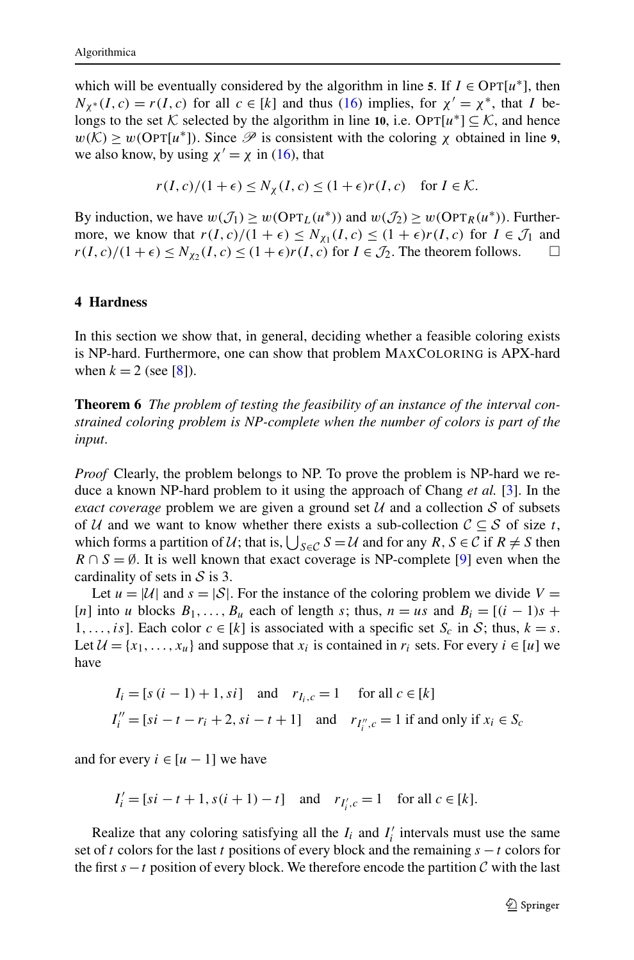<span id="page-18-0"></span>which will be eventually considered by the algorithm in line **5**. If  $I \in \text{OPT}[u^*]$ , then  $N_{\chi^*}(I, c) = r(I, c)$  for all  $c \in [k]$  and thus [\(16](#page-13-0)) implies, for  $\chi' = \chi^*$ , that *I* belongs to the set K selected by the algorithm in line 10, i.e.  $\text{OPT}[u^*] \subseteq \mathcal{K}$ , and hence  $w(K) \geq w(OPT[u^*])$ . Since  $\mathcal{P}$  is consistent with the coloring  $\chi$  obtained in line 9, we also know, by using  $\chi' = \chi$  in ([16\)](#page-13-0), that

$$
r(I, c)/(1 + \epsilon) \le N_{\chi}(I, c) \le (1 + \epsilon)r(I, c) \quad \text{for } I \in \mathcal{K}.
$$

By induction, we have  $w(\mathcal{J}_1) \geq w(\text{OPT}_L(u^*))$  and  $w(\mathcal{J}_2) \geq w(\text{OPT}_R(u^*))$ . Furthermore, we know that  $r(I, c)/(1 + \epsilon) \leq N_{\chi_1}(I, c) \leq (1 + \epsilon)r(I, c)$  for  $I \in \mathcal{J}_1$  and  $r(I, c)/(1 + \epsilon) \leq N_{\chi_2}(I, c) \leq (1 + \epsilon)r(I, c)$  for  $I \in \mathcal{J}_2$ . The theorem follows.  $\Box$ 

# **4 Hardness**

In this section we show that, in general, deciding whether a feasible coloring exists is NP-hard. Furthermore, one can show that problem MAXCOLORING is APX-hard when  $k = 2$  (see [\[8](#page-19-0)]).

**Theorem 6** *The problem of testing the feasibility of an instance of the interval constrained coloring problem is NP-complete when the number of colors is part of the input*.

*Proof* Clearly, the problem belongs to NP. To prove the problem is NP-hard we reduce a known NP-hard problem to it using the approach of Chang *et al.* [\[3](#page-19-0)]. In the *exact coverage* problem we are given a ground set  $U$  and a collection  $S$  of subsets of U and we want to know whether there exists a sub-collection  $C \subseteq S$  of size t, which forms a partition of U; that is,  $\bigcup_{S \in \mathcal{C}} S = U$  and for any  $R, S \in \mathcal{C}$  if  $R \neq S$  then  $R \cap S = \emptyset$ . It is well known that exact coverage is NP-complete [[9\]](#page-19-0) even when the cardinality of sets in  $S$  is 3.

Let  $u = |\mathcal{U}|$  and  $s = |\mathcal{S}|$ . For the instance of the coloring problem we divide  $V =$ [*n*] into *u* blocks  $B_1, \ldots, B_u$  each of length *s*; thus,  $n = us$  and  $B_i = [(i - 1)s +$ 1,..., is]. Each color  $c \in [k]$  is associated with a specific set  $S_c$  in S; thus,  $k = s$ . Let  $\mathcal{U} = \{x_1, \ldots, x_u\}$  and suppose that  $x_i$  is contained in  $r_i$  sets. For every  $i \in [u]$  we have

$$
I_i = [s (i - 1) + 1, si] \text{ and } r_{I_i, c} = 1 \text{ for all } c \in [k]
$$
  

$$
I_i'' = [si - t - r_i + 2, si - t + 1] \text{ and } r_{I_i'', c} = 1 \text{ if and only if } x_i \in S_c
$$

and for every  $i \in [u-1]$  we have

$$
I'_i = [si - t + 1, s(i + 1) - t] \text{ and } r_{I'_i, c} = 1 \text{ for all } c \in [k].
$$

Realize that any coloring satisfying all the  $I_i$  and  $I'_i$  intervals must use the same set of *t* colors for the last *t* positions of every block and the remaining *s* −*t* colors for the first  $s - t$  position of every block. We therefore encode the partition C with the last